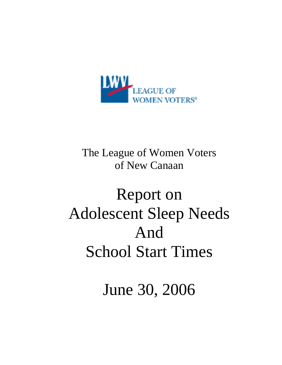

# The League of Women Voters of New Canaan

# Report on Adolescent Sleep Needs And School Start Times

June 30, 2006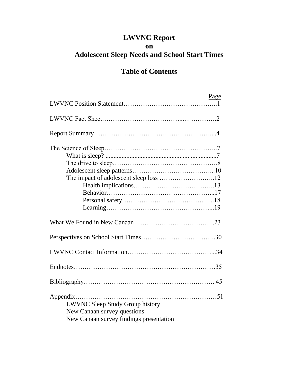# **LWVNC Report on Adolescent Sleep Needs and School Start Times**

# **Table of Contents**

|                                                                       | Page |
|-----------------------------------------------------------------------|------|
|                                                                       |      |
|                                                                       |      |
|                                                                       |      |
|                                                                       |      |
|                                                                       |      |
|                                                                       |      |
|                                                                       |      |
|                                                                       |      |
|                                                                       |      |
|                                                                       |      |
|                                                                       |      |
|                                                                       |      |
|                                                                       |      |
|                                                                       |      |
|                                                                       |      |
|                                                                       |      |
| <b>LWVNC Sleep Study Group history</b><br>New Canaan survey questions |      |
| New Canaan survey findings presentation                               |      |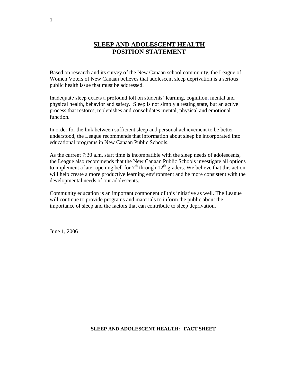# **SLEEP AND ADOLESCENT HEALTH POSITION STATEMENT**

Based on research and its survey of the New Canaan school community, the League of Women Voters of New Canaan believes that adolescent sleep deprivation is a serious public health issue that must be addressed.

Inadequate sleep exacts a profound toll on students' learning, cognition, mental and physical health, behavior and safety. Sleep is not simply a resting state, but an active process that restores, replenishes and consolidates mental, physical and emotional function.

In order for the link between sufficient sleep and personal achievement to be better understood, the League recommends that information about sleep be incorporated into educational programs in New Canaan Public Schools.

As the current 7:30 a.m. start time is incompatible with the sleep needs of adolescents, the League also recommends that the New Canaan Public Schools investigate all options to implement a later opening bell for  $7<sup>th</sup>$  through  $12<sup>th</sup>$  graders. We believe that this action will help create a more productive learning environment and be more consistent with the developmental needs of our adolescents.

Community education is an important component of this initiative as well. The League will continue to provide programs and materials to inform the public about the importance of sleep and the factors that can contribute to sleep deprivation.

June 1, 2006

#### **SLEEP AND ADOLESCENT HEALTH: FACT SHEET**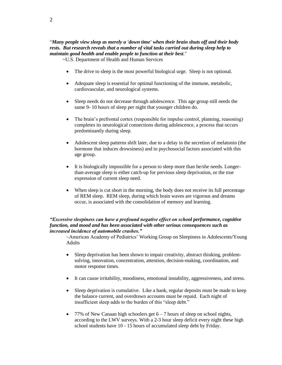# "*Many people view sleep as merely a 'down time' when their brain shuts off and their body rests. But research reveals that a number of vital tasks carried out during sleep help to maintain good health and enable people to function at their best*."

~U.S. Department of Health and Human Services

- The drive to sleep is the most powerful biological urge. Sleep is not optional.
- Adequate sleep is essential for optimal functioning of the immune, metabolic, cardiovascular, and neurological systems.
- Sleep needs do not decrease through adolescence. This age group still needs the same 9- 10 hours of sleep per night that younger children do.
- The brain's prefrontal cortex (responsible for impulse control, planning, reasoning) completes its neurological connections during adolescence, a process that occurs predominantly during sleep.
- Adolescent sleep patterns shift later, due to a delay in the secretion of melatonin (the hormone that induces drowsiness) and to psychosocial factors associated with this age group.
- It is biologically impossible for a person to sleep more than he/she needs. Longerthan-average sleep is either catch-up for previous sleep deprivation, or the true expression of current sleep need.
- When sleep is cut short in the morning, the body does not receive its full percentage of REM sleep. REM sleep, during which brain waves are vigorous and dreams occur, is associated with the consolidation of memory and learning.

#### *"Excessive sleepiness can have a profound negative effect on school performance, cognitive function, and mood and has been associated with other serious consequences such as increased incidence of automobile crashes."*

~American Academy of Pediatrics' Working Group on Sleepiness in Adolescents/Young Adults

- Sleep deprivation has been shown to impair creativity, abstract thinking, problemsolving, innovation, concentration, attention, decision-making, coordination, and motor response times.
- It can cause irritability, moodiness, emotional instability, aggressiveness, and stress.
- Sleep deprivation is cumulative. Like a bank, regular deposits must be made to keep the balance current, and overdrawn accounts must be repaid. Each night of insufficient sleep adds to the burden of this "sleep debt."
- 77% of New Canaan high schoolers get  $6 7$  hours of sleep on school nights, according to the LWV surveys. With a 2-3 hour sleep deficit every night these high school students have 10 - 15 hours of accumulated sleep debt by Friday.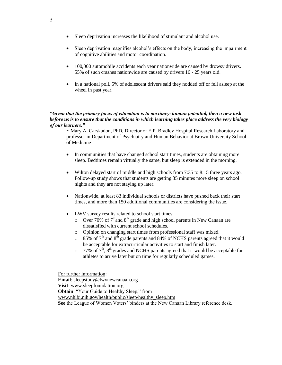- Sleep deprivation increases the likelihood of stimulant and alcohol use.
- Sleep deprivation magnifies alcohol's effects on the body, increasing the impairment of cognitive abilities and motor coordination.
- 100,000 automobile accidents each year nationwide are caused by drowsy drivers. 55% of such crashes nationwide are caused by drivers 16 - 25 years old.
- In a national poll, 5% of adolescent drivers said they nodded off or fell asleep at the wheel in past year.

#### *"Given that the primary focus of education is to maximize human potential, then a new task before us is to ensure that the conditions in which learning takes place address the very biology of our learners."*

*~* Mary A. Carskadon, PhD, Director of E.P. Bradley Hospital Research Laboratory and professor in Department of Psychiatry and Human Behavior at Brown University School of Medicine

- In communities that have changed school start times, students are obtaining more sleep. Bedtimes remain virtually the same, but sleep is extended in the morning.
- Wilton delayed start of middle and high schools from 7:35 to 8:15 three years ago. Follow-up study shows that students are getting 35 minutes more sleep on school nights and they are not staying up later.
- Nationwide, at least 83 individual schools or districts have pushed back their start times, and more than 150 additional communities are considering the issue.
- LWV survey results related to school start times:
	- $\circ$  Over 70% of 7<sup>th</sup>and 8<sup>th</sup> grade and high school parents in New Canaan are dissatisfied with current school schedules.
	- o Opinion on changing start times from professional staff was mixed.
	- $\circ$  85% of 7<sup>th</sup> and 8<sup>th</sup> grade parents and 84% of NCHS parents agreed that it would be acceptable for extracurricular activities to start and finish later.
	- $\circ$  77% of 7<sup>th</sup>, 8<sup>th</sup> grades and NCHS parents agreed that it would be acceptable for athletes to arrive later but on time for regularly scheduled games.

For further information: **Email**: sleepstudy@lwvnewcanaan.org **Visit**: www.sleepfoundation.org. **Obtain:** "Your Guide to Healthy Sleep," from www.nhlbi.nih.gov/health/public/sleep/healthy\_sleep.htm **See** the League of Women Voters' binders at the New Canaan Library reference desk.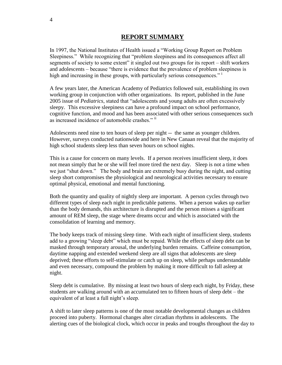# **REPORT SUMMARY**

In 1997, the National Institutes of Health issued a "Working Group Report on Problem Sleepiness." While recognizing that "problem sleepiness and its consequences affect all segments of society to some extent" it singled out two groups for its report – shift workers and adolescents – because "there is evidence that the prevalence of problem sleepiness is high and increasing in these groups, with particularly serious consequences."<sup>1</sup>

A few years later, the American Academy of Pediatrics followed suit, establishing its own working group in conjunction with other organizations. Its report, published in the June 2005 issue of *Pediatrics*, stated that "adolescents and young adults are often excessively sleepy. This excessive sleepiness can have a profound impact on school performance, cognitive function, and mood and has been associated with other serious consequences such as increased incidence of automobile crashes." ii

Adolescents need nine to ten hours of sleep per night -- the same as younger children. However, surveys conducted nationwide and here in New Canaan reveal that the majority of high school students sleep less than seven hours on school nights.

This is a cause for concern on many levels. If a person receives insufficient sleep, it does not mean simply that he or she will feel more tired the next day. Sleep is not a time when we just "shut down." The body and brain are extremely busy during the night, and cutting sleep short compromises the physiological and neurological activities necessary to ensure optimal physical, emotional and mental functioning.

Both the quantity and quality of nightly sleep are important. A person cycles through two different types of sleep each night in predictable patterns. When a person wakes up earlier than the body demands, this architecture is disrupted and the person misses a significant amount of REM sleep, the stage where dreams occur and which is associated with the consolidation of learning and memory.

The body keeps track of missing sleep time. With each night of insufficient sleep, students add to a growing "sleep debt" which must be repaid. While the effects of sleep debt can be masked through temporary arousal, the underlying burden remains. Caffeine consumption, daytime napping and extended weekend sleep are all signs that adolescents are sleep deprived; these efforts to self-stimulate or catch up on sleep, while perhaps understandable and even necessary, compound the problem by making it more difficult to fall asleep at night.

Sleep debt is cumulative. By missing at least two hours of sleep each night, by Friday, these students are walking around with an accumulated ten to fifteen hours of sleep debt – the equivalent of at least a full night's sleep.

A shift to later sleep patterns is one of the most notable developmental changes as children proceed into puberty. Hormonal changes alter circadian rhythms in adolescents. The alerting cues of the biological clock, which occur in peaks and troughs throughout the day to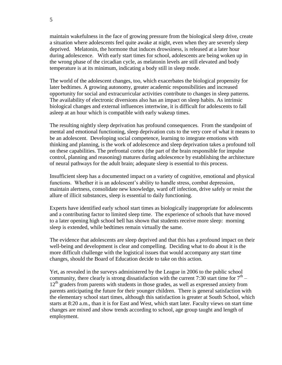maintain wakefulness in the face of growing pressure from the biological sleep drive, create a situation where adolescents feel quite awake at night, even when they are severely sleep deprived. Melatonin, the hormone that induces drowsiness, is released at a later hour during adolescence. With early start times for school, adolescents are being woken up in the wrong phase of the circadian cycle, as melatonin levels are still elevated and body temperature is at its minimum, indicating a body still in sleep mode.

The world of the adolescent changes, too, which exacerbates the biological propensity for later bedtimes. A growing autonomy, greater academic responsibilities and increased opportunity for social and extracurricular activities contribute to changes in sleep patterns. The availability of electronic diversions also has an impact on sleep habits. As intrinsic biological changes and external influences intertwine, it is difficult for adolescents to fall asleep at an hour which is compatible with early wakeup times.

The resulting nightly sleep deprivation has profound consequences. From the standpoint of mental and emotional functioning, sleep deprivation cuts to the very core of what it means to be an adolescent. Developing social competence, learning to integrate emotions with thinking and planning, is the work of adolescence and sleep deprivation takes a profound toll on these capabilities. The prefrontal cortex (the part of the brain responsible for impulse control, planning and reasoning) matures during adolescence by establishing the architecture of neural pathways for the adult brain; adequate sleep is essential to this process.

Insufficient sleep has a documented impact on a variety of cognitive, emotional and physical functions. Whether it is an adolescent's ability to handle stress, combat depression, maintain alertness, consolidate new knowledge, ward off infection, drive safely or resist the allure of illicit substances, sleep is essential to daily functioning.

Experts have identified early school start times as biologically inappropriate for adolescents and a contributing factor to limited sleep time. The experience of schools that have moved to a later opening high school bell has shown that students receive more sleep: morning sleep is extended, while bedtimes remain virtually the same.

The evidence that adolescents are sleep deprived and that this has a profound impact on their well-being and development is clear and compelling. Deciding what to do about it is the more difficult challenge with the logistical issues that would accompany any start time changes, should the Board of Education decide to take on this action.

Yet, as revealed in the surveys administered by the League in 2006 to the public school community, there clearly is strong dissatisfaction with the current 7:30 start time for  $7<sup>th</sup>$  –  $12<sup>th</sup>$  graders from parents with students in those grades, as well as expressed anxiety from parents anticipating the future for their younger children. There is general satisfaction with the elementary school start times, although this satisfaction is greater at South School, which starts at 8:20 a.m., than it is for East and West, which start later. Faculty views on start time changes are mixed and show trends according to school, age group taught and length of employment.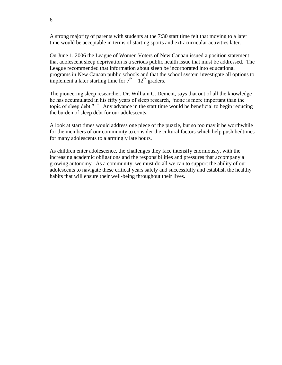A strong majority of parents with students at the 7:30 start time felt that moving to a later time would be acceptable in terms of starting sports and extracurricular activities later.

On June 1, 2006 the League of Women Voters of New Canaan issued a position statement that adolescent sleep deprivation is a serious public health issue that must be addressed. The League recommended that information about sleep be incorporated into educational programs in New Canaan public schools and that the school system investigate all options to implement a later starting time for  $7<sup>th</sup> - 12<sup>th</sup>$  graders.

The pioneering sleep researcher, Dr. William C. Dement, says that out of all the knowledge he has accumulated in his fifty years of sleep research, "none is more important than the topic of sleep debt." iii Any advance in the start time would be beneficial to begin reducing the burden of sleep debt for our adolescents.

A look at start times would address one piece of the puzzle, but so too may it be worthwhile for the members of our community to consider the cultural factors which help push bedtimes for many adolescents to alarmingly late hours.

As children enter adolescence, the challenges they face intensify enormously, with the increasing academic obligations and the responsibilities and pressures that accompany a growing autonomy. As a community, we must do all we can to support the ability of our adolescents to navigate these critical years safely and successfully and establish the healthy habits that will ensure their well-being throughout their lives.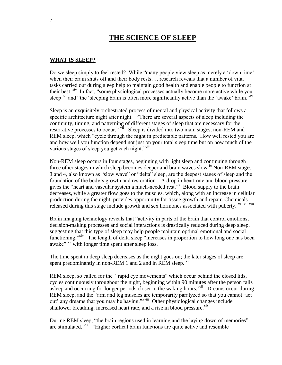# **THE SCIENCE OF SLEEP**

## **WHAT IS SLEEP?**

Do we sleep simply to feel rested? While "many people view sleep as merely a 'down time' when their brain shuts off and their body rests…. research reveals that a number of vital tasks carried out during sleep help to maintain good health and enable people to function at their best."<sup>iv</sup> In fact, "some physiological processes actually become more active while you sleep" and "the 'sleeping brain is often more significantly active than the 'awake' brain."<sup>vi</sup>

Sleep is an exquisitely orchestrated process of mental and physical activity that follows a specific architecture night after night. "There are several aspects of sleep including the continuity, timing, and patterning of different stages of sleep that are necessary for the restorative processes to occur." VII Sleep is divided into two main stages, non-REM and REM sleep, which "cycle through the night in predictable patterns. How well rested you are and how well you function depend not just on your total sleep time but on how much of the various stages of sleep you get each night."viii

Non-REM sleep occurs in four stages, beginning with light sleep and continuing through three other stages in which sleep becomes deeper and brain waves slow.<sup>ix</sup> Non-REM stages 3 and 4, also known as "slow wave" or "delta" sleep, are the deepest stages of sleep and the foundation of the body's growth and restoration. A drop in heart rate and blood pressure gives the "heart and vascular system a much-needed rest."<sup>x</sup> Blood supply to the brain decreases, while a greater flow goes to the muscles, which, along with an increase in cellular production during the night, provides opportunity for tissue growth and repair. Chemicals released during this stage include growth and sex hormones associated with puberty. <sup>xi xii xiii</sup>

Brain imaging technology reveals that "activity in parts of the brain that control emotions, decision-making processes and social interactions is drastically reduced during deep sleep, suggesting that this type of sleep may help people maintain optimal emotional and social functioning."<sup>xiv</sup> The length of delta sleep "increases in proportion to how long one has been awake"<sup>xv</sup> with longer time spent after sleep loss.

The time spent in deep sleep decreases as the night goes on; the later stages of sleep are spent predominantly in non-REM 1 and 2 and in REM sleep. <sup>xvi</sup>

REM sleep, so called for the "rapid eye movements" which occur behind the closed lids, cycles continuously throughout the night, beginning within 90 minutes after the person falls asleep and occurring for longer periods closer to the waking hours.<sup>xvii</sup> Dreams occur during REM sleep, and the "arm and leg muscles are temporarily paralyzed so that you cannot 'act out' any dreams that you may be having."<sup>xviii</sup> Other physiological changes include shallower breathing, increased heart rate, and a rise in blood pressure. Xix

During REM sleep, "the brain regions used in learning and the laying down of memories" are stimulated."<sup>xx"</sup> "Higher cortical brain functions are quite active and resemble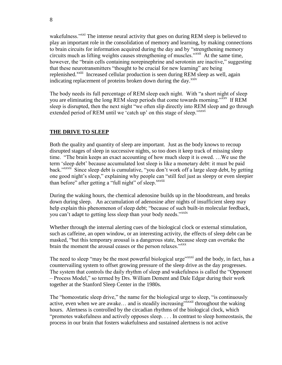wakefulness."<sup>xxi</sup> The intense neural activity that goes on during REM sleep is believed to play an important role in the consolidation of memory and learning, by making connections to brain circuits for information acquired during the day and by "strengthening memory circuits much as lifting weights causes strengthening of muscles."xxii At the same time, however, the "brain cells containing norepinephrine and serotonin are inactive," suggesting that these neurotransmitters "thought to be crucial for new learning" are being replenished.<sup>xxiii</sup> Increased cellular production is seen during REM sleep as well, again indicating replacement of proteins broken down during the day. $\frac{xxiv}{ }$ 

The body needs its full percentage of REM sleep each night. With "a short night of sleep you are eliminating the long REM sleep periods that come towards morning."<sup>XXV</sup> If REM sleep is disrupted, then the next night "we often slip directly into REM sleep and go through extended period of REM until we 'catch up' on this stage of sleep."xxvi

# **THE DRIVE TO SLEEP**

Both the quality and quantity of sleep are important. Just as the body knows to recoup disrupted stages of sleep in successive nights, so too does it keep track of missing sleep time. "The brain keeps an exact accounting of how much sleep it is owed. …We use the term 'sleep debt' because accumulated lost sleep is like a monetary debt: it must be paid back."<sup>xxvii</sup> Since sleep debt is cumulative, "you don't work off a large sleep debt, by getting one good night's sleep," explaining why people can "still feel just as sleepy or even sleepier than before" after getting a "full night" of sleep.<sup>xxviii</sup>

During the waking hours, the chemical adenosine builds up in the bloodstream, and breaks down during sleep. An accumulation of adenosine after nights of insufficient sleep may help explain this phenomenon of sleep debt; "because of such built-in molecular feedback, you can't adapt to getting less sleep than your body needs."xxix

Whether through the internal alerting cues of the biological clock or external stimulation, such as caffeine, an open window, or an interesting activity, the effects of sleep debt can be masked, "but this temporary arousal is a dangerous state, because sleep can overtake the brain the moment the arousal ceases or the person relaxes."<sup>xxxx</sup>

The need to sleep "may be the most powerful biological urge"<sup>xxxxi</sup> and the body, in fact, has a countervailing system to offset growing pressure of the sleep drive as the day progresses. The system that controls the daily rhythm of sleep and wakefulness is called the "Opponent – Process Model," so termed by Drs. William Dement and Dale Edgar during their work together at the Stanford Sleep Center in the 1980s.

The "homeostatic sleep drive," the name for the biological urge to sleep, "is continuously active, even when we are awake... and is steadily increasing"<sup>xxxii</sup> throughout the waking hours. Alertness is controlled by the circadian rhythms of the biological clock, which "promotes wakefulness and actively opposes sleep. . . . In contrast to sleep homeostasis, the process in our brain that fosters wakefulness and sustained alertness is not active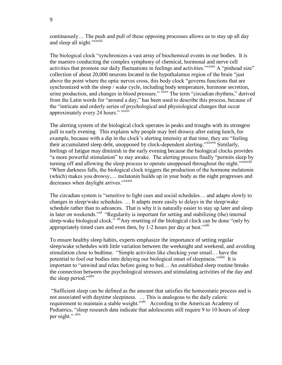continuously… The push and pull of these opposing processes allows us to stay up all day and sleep all night."<sup>xxxiii</sup>

The biological clock "synchronizes a vast array of biochemical events in our bodies. It is the maestro conducting the complex symphony of chemical, hormonal and nerve cell activities that promote our daily fluctuations in feelings and activities."<sup>xxxxiv</sup> A "pinhead size" collection of about 20,000 neurons located in the hypothalamus region of the brain "just above the point where the optic nerves cross, this body clock "governs functions that are synchronized with the sleep / wake cycle, including body temperature, hormone secretion, urine production, and changes in blood pressure." xxxv The term "circadian rhythms," derived from the Latin words for "around a day," has been used to describe this process, because of the "intricate and orderly series of psychological and physiological changes that occur approximately every 24 hours." xxxvi

The alerting system of the biological clock operates in peaks and troughs with its strongest pull in early evening. This explains why people may feel drowsy after eating lunch, for example, because with a dip in the clock's alerting intensity at that time, they are "feeling their accumulated sleep debt, unopposed by clock-dependent alerting."*xxxvii* Similarly, feelings of fatigue may diminish in the early evening because the biological clocks provides "a more powerful stimulation" to stay awake. The alerting process finally "permits sleep by turning off and allowing the sleep process to operate unopposed throughout the night."xxxviii "When darkness falls, the biological clock triggers the production of the hormone melatonin (which) makes you drowsy,… melatonin builds up in your body as the night progresses and decreases when daylight arrives."<sup>xxxix</sup>

The circadian system is "sensitive to light cues and social schedules… and adapts slowly to changes in sleep/wake schedules. … It adapts more easily to delays in the sleep/wake schedule rather than to advances. That is why it is naturally easier to stay up later and sleep in later on weekends."<sup>Xl</sup> "Regularity is important for setting and stabilizing (the) internal sleep-wake biological clock."<sup>xli</sup>Any resetting of the biological clock can be done "only by appropriately timed cues and even then, by 1-2 hours per day at best.<sup>" $x$ lii"</sup>

To ensure healthy sleep habits, experts emphasize the importance of setting regular sleep/wake schedules with little variation between the weeknight and weekend, and avoiding stimulation close to bedtime. "Simple activities like checking your email… have the potential to fool our bodies into delaying our biological onset of sleepiness."<sup>xliii</sup> It is important to "unwind and relax before going to bed… An established sleep routine breaks the connection between the psychological stressors and stimulating activities of the day and the sleep period."xliv

"Sufficient sleep can be defined as the amount that satisfies the homeostatic process and is not associated with daytime sleepiness. … This is analogous to the daily caloric requirement to maintain a stable weight."<sup>xlv</sup> According to the American Academy of Pediatrics, "sleep research data indicate that adolescents still require 9 to 10 hours of sleep per night." <sup>xlvi</sup>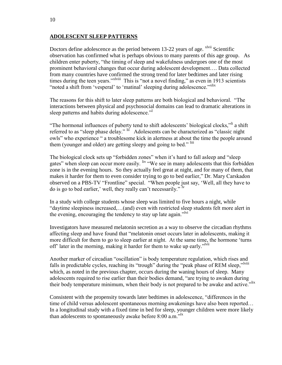# **ADOLESCENT SLEEP PATTERNS**

Doctors define adolescence as the period between 13-22 years of age. <sup>xlvii</sup> Scientific observation has confirmed what is perhaps obvious to many parents of this age group. As children enter puberty, "the timing of sleep and wakefulness undergoes one of the most prominent behavioral changes that occur during adolescent development…. Data collected from many countries have confirmed the strong trend for later bedtimes and later rising times during the teen years."<sup>xlviii</sup> This is "not a novel finding," as even in 1913 scientists "noted a shift from 'vesperal' to 'matinal' sleeping during adolescence."<sup>xlix</sup>

The reasons for this shift to later sleep patterns are both biological and behavioral. "The interactions between physical and psychosocial domains can lead to dramatic alterations in sleep patterns and habits during adolescence."

"The hormonal influences of puberty tend to shift adolescents' biological clocks,"<sup>li</sup> a shift referred to as "sleep phase delay." lii Adolescents can be characterized as "classic night owls" who experience " a troublesome kick in alertness at about the time the people around them (younger and older) are getting sleepy and going to bed." liii

The biological clock sets up "forbidden zones" when it's hard to fall asleep and "sleep gates" when sleep can occur more easily. <sup>liv</sup> "We see in many adolescents that this forbidden zone is in the evening hours. So they actually feel great at night, and for many of them, that makes it harder for them to even consider trying to go to bed earlier," Dr. Mary Carskadon observed on a PBS-TV "Frontline" special. "When people just say, 'Well, all they have to do is go to bed earlier,' well, they really can't necessarily." <sup>lv</sup>

In a study with college students whose sleep was limited to five hours a night, while "daytime sleepiness increased,…(and) even with restricted sleep students felt more alert in the evening, encouraging the tendency to stay up late again."<sup>lvi</sup>

Investigators have measured melatonin secretion as a way to observe the circadian rhythms affecting sleep and have found that "melatonin onset occurs later in adolescents, making it more difficult for them to go to sleep earlier at night. At the same time, the hormone 'turns off' later in the morning, making it harder for them to wake up early."<sup>Ivii</sup>

Another marker of circadian "oscillation" is body temperature regulation, which rises and falls in predictable cycles, reaching its "trough" during the "peak phase of REM sleep,"<sup>lviii</sup> which, as noted in the previous chapter, occurs during the waning hours of sleep. Many adolescents required to rise earlier than their bodies demand, "are trying to awaken during their body temperature minimum, when their body is not prepared to be awake and active."<sup>lix</sup>

Consistent with the propensity towards later bedtimes in adolescence, "differences in the time of child versus adolescent spontaneous morning awakenings have also been reported… In a longitudinal study with a fixed time in bed for sleep, younger children were more likely than adolescents to spontaneously awake before  $8:00$  a.m.<sup>"lx</sup>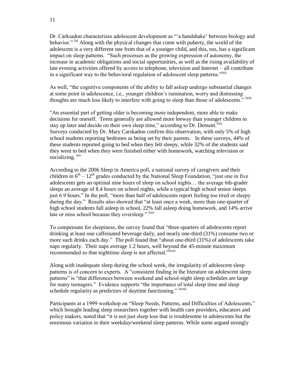Dr. Carksadon characterizes adolescent development as "'a handshake' between biology and behavior."  $\frac{1}{x}$  Along with the physical changes that come with puberty, the world of the adolescent is a very different one from that of a younger child, and this, too, has a significant impact on sleep patterns. "Such processes as the growing expression of autonomy, the increase in academic obligations and social opportunities, as well as the rising availability of late evening activities offered by access to telephone, television and Internet – all contribute in a significant way to the behavioral regulation of adolescent sleep patterns."<sup>Ixii</sup>

As well, "the cognitive components of the ability to fall asleep undergo substantial changes at some point in adolescence, i.e., younger children's rumination, worry and distressing thoughts are much less likely to interfere with going to sleep than those of adolescents." <sup>Ixiii</sup>

"An essential part of getting older is becoming more independent, more able to make decisions for oneself. Teens generally are allowed more leeway than younger children to stay up later and decide on their own sleep time," according to Dr. Dement.<sup>Ixiv</sup> Surveys conducted by Dr. Mary Carskadon confirm this observation, with only 5% of high school students reporting bedtimes as being set by their parents. In these surveys, 44% of these students reported going to bed when they felt sleepy, while 32% of the students said they went to bed when they were finished either with homework, watching television or socializing.  $\frac{ixv}{ }$ 

According to the 2006 Sleep in America poll, a national survey of caregivers and their children in  $6<sup>th</sup> - 12<sup>th</sup>$  grades conducted by the National Sleep Foundation, "just one in five adolescents gets an optimal nine hours of sleep on school nights… the average 6th-grader sleeps an average of 8.4 hours on school nights, while a typical high school senior sleeps just 6.9 hours." In the poll, "more than half of adolescents report feeling too tired or sleepy during the day." Results also showed that "at least once a week, more than one-quarter of high school students fall asleep in school, 22% fall asleep doing homework, and 14% arrive late or miss school because they oversleep." <sup>Ixvi</sup>

To compensate for sleepiness, the survey found that "three-quarters of adolescents report drinking at least one caffeinated beverage daily, and nearly one-third (31%) consume two or more such drinks each day." The poll found that "about one-third (31%) of adolescents take naps regularly. Their naps average 1.2 hours, well beyond the 45-minute maximum recommended so that nighttime sleep is not affected."<sup>Ixvii</sup>

Along with inadequate sleep during the school week, the irregularity of adolescent sleep patterns is of concern to experts. A "consistent finding in the literature on adolescent sleep patterns" is "that differences between weekend and school-night sleep schedules are large for many teenagers." Evidence supports "the importance of total sleep time and sleep schedule regularity as predictors of daytime functioning." <sup>Ixviii</sup>

Participants at a 1999 workshop on "Sleep Needs, Patterns, and Difficulties of Adolescents," which brought leading sleep researchers together with health care providers, educators and policy makers, noted that "it is not just sleep loss that is troublesome in adolescents but the enormous variation in their weekday/weekend sleep patterns. While some argued strongly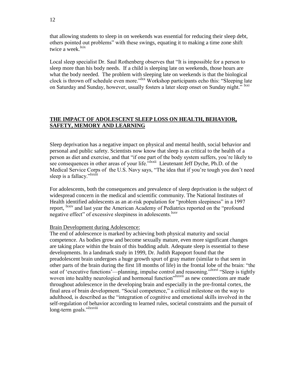that allowing students to sleep in on weekends was essential for reducing their sleep debt, others pointed out problems" with these swings, equating it to making a time zone shift twice a week. $\frac{lxix}{l}$ 

Local sleep specialist Dr. Saul Rothenberg observes that "It is impossible for a person to sleep more than his body needs. If a child is sleeping late on weekends, those hours are what the body needed. The problem with sleeping late on weekends is that the biological clock is thrown off schedule even more."<sup>Ixx</sup> Workshop participants echo this: "Sleeping late on Saturday and Sunday, however, usually fosters a later sleep onset on Sunday night." Ixxi

# **THE IMPACT OF ADOLESCENT SLEEP LOSS ON HEALTH, BEHAVIOR, SAFETY, MEMORY AND LEARNING**

Sleep deprivation has a negative impact on physical and mental health, social behavior and personal and public safety. Scientists now know that sleep is as critical to the health of a person as diet and exercise, and that "if one part of the body system suffers, you're likely to see consequences in other areas of your life.<sup>",lxxii</sup> Lieutenant Jeff Dyche, Ph.D. of the Medical Service Corps of the U.S. Navy says, "The idea that if you're tough you don't need sleep is a fallacy."<sup>Ixxiii</sup>

For adolescents, both the consequences and prevalence of sleep deprivation is the subject of widespread concern in the medical and scientific community. The National Institutes of Health identified adolescents as an at-risk population for "problem sleepiness" in a 1997 report, <sup>lxxiv</sup> and last year the American Academy of Pediatrics reported on the "profound" negative effect" of excessive sleepiness in adolescents.<sup>lxxv</sup>

#### Brain Development during Adolescence:

The end of adolescence is marked by achieving both physical maturity and social competence. As bodies grow and become sexually mature, even more significant changes are taking place within the brain of this budding adult. Adequate sleep is essential to these developments. In a landmark study in 1999, Dr. Judith Rapoport found that the preadolescent brain undergoes a huge growth spurt of gray matter (similar to that seen in other parts of the brain during the first 18 months of life) in the frontal lobe of the brain: "the seat of 'executive functions'—planning, impulse control and reasoning."<sup>1xxvi</sup> "Sleep is tightly woven into healthy neurological and hormonal function<sup>"lxxvii</sup> as new connections are made throughout adolescence in the developing brain and especially in the pre-frontal cortex, the final area of brain development. "Social competence," a critical milestone on the way to adulthood, is described as the "integration of cognitive and emotional skills involved in the self-regulation of behavior according to learned rules, societal constraints and the pursuit of long-term goals."<sup>1xxviii</sup>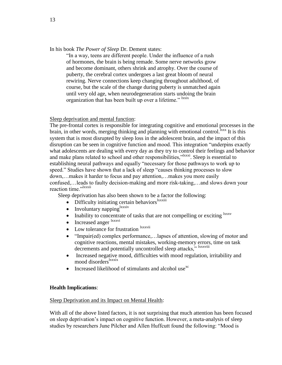In his book *The Power of Sleep* Dr. Dement states:

"In a way, teens are different people. Under the influence of a rush of hormones, the brain is being remade. Some nerve networks grow and become dominant, others shrink and atrophy. Over the course of puberty, the cerebral cortex undergoes a last great bloom of neural rewiring. Nerve connections keep changing throughout adulthood, of course, but the scale of the change during puberty is unmatched again until very old age, when neurodegeneration starts undoing the brain organization that has been built up over a lifetime." <sup>Ixxix</sup>

# Sleep deprivation and mental function:

The pre-frontal cortex is responsible for integrating cognitive and emotional processes in the brain, in other words, merging thinking and planning with emotional control.<sup>1xxx</sup> It is this system that is most disrupted by sleep loss in the adolescent brain, and the impact of this disruption can be seen in cognitive function and mood. This integration "underpins exactly what adolescents are dealing with every day as they try to control their feelings and behavior and make plans related to school and other responsibilities,"<sup>lxxxi</sup>. Sleep is essential to establishing neural pathways and equally "necessary for those pathways to work up to speed." Studies have shown that a lack of sleep "causes thinking processes to slow down,…makes it harder to focus and pay attention,…makes you more easily confused,…leads to faulty decision-making and more risk-taking,…and slows down your reaction time."<sup>1xxxii</sup>

Sleep deprivation has also been shown to be a factor the following:

- $\bullet$  Difficulty initiating certain behaviors<sup>lxxxiii</sup>
- $\bullet$  Involuntary napping  $\sum_{k=1}^{\infty}$
- $\bullet$  Inability to concentrate of tasks that are not compelling or exciting  $\frac{ixxxv}{ }$
- Increased anger  $\frac{lxxxvi}{l}$
- Low tolerance for frustration lxxxvii
- "Impair(ed) complex performance,... lapses of attention, slowing of motor and cognitive reactions, mental mistakes, working-memory errors, time on task decrements and potentially uncontrolled sleep attacks," lxxxviii
- Increased negative mood, difficulties with mood regulation, irritability and mood disorders<sup>lxxxix</sup>
- Increased likelihood of stimulants and alcohol use<sup>xc</sup>

# **Health Implications**:

# Sleep Deprivation and its Impact on Mental Health:

With all of the above listed factors, it is not surprising that much attention has been focused on sleep deprivation's impact on cognitive function. However, a meta-analysis of sleep studies by researchers June Pilcher and Allen Huffcutt found the following: "Mood is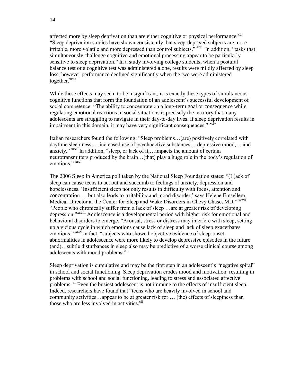affected more by sleep deprivation than are either cognitive or physical performance.<sup>xci</sup> "Sleep deprivation studies have shown consistently that sleep-deprived subjects are more irritable, more volatile and more depressed than control subjects." <sup>xcii</sup> In addition, "tasks that simultaneously challenge cognitive and emotional processing appear to be particularly sensitive to sleep deprivation." In a study involving college students, when a postural balance test or a cognitive test was administered alone, results were mildly affected by sleep loss; however performance declined significantly when the two were administered together.<sup>xciii</sup>

While these effects may seem to be insignificant, it is exactly these types of simultaneous cognitive functions that form the foundation of an adolescent's successful development of social competence: "The ability to concentrate on a long-term goal or consequence while regulating emotional reactions in social situations is precisely the territory that many adolescents are struggling to navigate in their day-to-day lives. If sleep deprivation results in impairment in this domain, it may have very significant consequences." <sup>xciv</sup>

Italian researchers found the following: "Sleep problems…(are) positively correlated with daytime sleepiness, …increased use of psychoactive substances,…depressive mood,… and anxiety."  $xcv$  In addition, "sleep, or lack of it,... impacts the amount of certain neurotransmitters produced by the brain…(that) play a huge role in the body's regulation of emotions," xcvi

The 2006 Sleep in America poll taken by the National Sleep Foundation states: "(L)ack of sleep can cause teens to act out and succumb to feelings of anxiety, depression and hopelessness. 'Insufficient sleep not only results in difficulty with focus, attention and concentration…, but also leads to irritability and mood disorder,' says Helene Emsellem, Medical Director at the Center for Sleep and Wake Disorders in Chevy Chase, MD." <sup>xcvii</sup> "People who chronically suffer from a lack of sleep …are at greater risk of developing depression."xcviii Adolescence is a developmental period with higher risk for emotional and behavioral disorders to emerge. "Arousal, stress or distress may interfere with sleep, setting up a vicious cycle in which emotions cause lack of sleep and lack of sleep exacerbates emotions." <sup>xcix</sup> In fact, "subjects who showed objective evidence of sleep-onset abnormalities in adolescence were more likely to develop depressive episodes in the future (and)…subtle disturbances in sleep also may be predictive of a worse clinical course among adolescents with mood problems."<sup>c</sup>

Sleep deprivation is cumulative and may be the first step in an adolescent's "negative spiral" in school and social functioning. Sleep deprivation erodes mood and motivation, resulting in problems with school and social functioning, leading to stress and associated affective problems. <sup>ci</sup> Even the busiest adolescent is not immune to the effects of insufficient sleep. Indeed, researchers have found that "teens who are heavily involved in school and community activities…appear to be at greater risk for … (the) effects of sleepiness than those who are less involved in activities. $\frac{di}{dt}$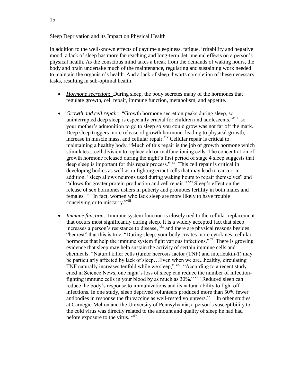In addition to the well-known effects of daytime sleepiness, fatigue, irritability and negative mood, a lack of sleep has more far-reaching and long-term detrimental effects on a person's physical health. As the conscious mind takes a break from the demands of waking hours, the body and brain undertake much of the maintenance, regulating and sustaining work needed to maintain the organism's health. And a lack of sleep thwarts completion of these necessary tasks, resulting in sub-optimal health.

- *Hormone secretion*: During sleep, the body secretes many of the hormones that regulate growth, cell repair, immune function, metabolism, and appetite.
- *Growth and cell repair*:"Growth hormone secretion peaks during sleep, so uninterrupted deep sleep is especially crucial for children and adolescents,"<sup>ciii</sup> so your mother's admonition to go to sleep so you could grow was not far off the mark. Deep sleep triggers more release of growth hormone, leading to physical growth, increase in muscle mass, and cellular repair.<sup>civ</sup> Cellular repair is critical to maintaining a healthy body. "Much of this repair is the job of growth hormone which stimulates…cell division to replace old or malfunctioning cells. The concentration of growth hormone released during the night's first period of stage 4 sleep suggests that deep sleep is important for this repair process."  $\alpha$ <sup> $\dot{\alpha}$ </sup> This cell repair is critical in developing bodies as well as in fighting errant cells that may lead to cancer. In addition, "sleep allows neurons used during waking hours to repair themselves" and "allows for greater protein production and cell repair." <sup>cvi</sup> Sleep's effect on the release of sex hormones ushers in puberty and promotes fertility in both males and females.<sup>cvii</sup> In fact, women who lack sleep are more likely to have trouble conceiving or to miscarry.<sup>cviii</sup>
- *Immune function*: Immune system function is closely tied to the cellular replacement that occurs most significantly during sleep. It is a widely accepted fact that sleep increases a person's resistance to disease, cix and there are physical reasons besides "bedrest" that this is true. "During sleep, your body creates more cytokines, cellular hormones that help the immune system fight various infections."<sup>cx</sup> There is growing evidence that sleep may help sustain the activity of certain immune cells and chemicals. "Natural killer cells (tumor necrosis factor (TNF) and interleukin-1) may be particularly affected by lack of sleep…Even when we are...healthy, circulating TNF naturally increases tenfold while we sleep,"  $\alpha$ <sup>xi</sup> "According to a recent study" cited in Science News, one night's loss of sleep can reduce the number of infectionfighting immune cells in your blood by as much as 30%." cxii Reduced sleep can reduce the body's response to immunizations and its natural ability to fight off infections. In one study, sleep deprived volunteers produced more than 50% fewer antibodies in response the flu vaccine as well-rested volunteers. $\frac{c}{c}$  In other studies at Carnegie-Mellon and the University of Pennsylvania, a person's susceptibility to the cold virus was directly related to the amount and quality of sleep he had had before exposure to the virus.  $c<sub>xiv</sub>$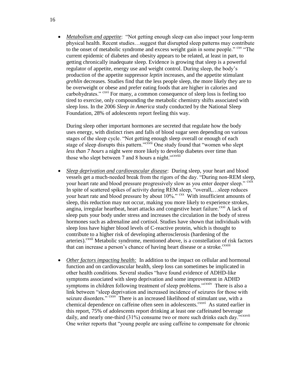*Metabolism and appetite*: "Not getting enough sleep can also impact your long-term physical health. Recent studies…suggest that disrupted sleep patterns may contribute to the onset of metabolic syndrome and excess weight gain in some people." <sup>cxv</sup> "The current epidemic of diabetes and obesity appears to be related, at least in part, to getting chronically inadequate sleep. Evidence is growing that sleep is a powerful regulator of appetite, energy use and weight control. During sleep, the body's production of the appetite suppressor *leptin* increases, and the appetite stimulant *grehlin* decreases. Studies find that the less people sleep, the more likely they are to be overweight or obese and prefer eating foods that are higher in calories and carbohydrates." <sup>cxvi</sup> For many, a common consequence of sleep loss is feeling too tired to exercise, only compounding the metabolic chemistry shifts associated with sleep loss. In the 2006 *Sleep in America* study conducted by the National Sleep Foundation, 28% of adolescents report feeling this way.

During sleep other important hormones are secreted that regulate how the body uses energy, with distinct rises and falls of blood sugar seen depending on various stages of the sleep cycle. "Not getting enough sleep overall or enough of each stage of sleep disrupts this pattern."<sup>cxvii</sup> One study found that "women who slept *less than 7 hours* a night were more likely to develop diabetes over time than those who slept between 7 and 8 hours a night."<sup>cxviii</sup>

- *Sleep deprivation and cardiovascular disease*: During sleep, your heart and blood vessels get a much-needed break from the rigors of the day. "During non-REM sleep, your heart rate and blood pressure progressively slow as you enter deeper sleep." <sup>cxix</sup> In spite of scattered spikes of activity during REM sleep, "overall,…sleep reduces your heart rate and blood pressure by about 10%." CXX With insufficient amounts of sleep, this reduction may not occur, making you more likely to experience strokes, angina, irregular heartbeat, heart attacks and congestive heart failure.<sup>cxxi</sup> A lack of sleep puts your body under stress and increases the circulation in the body of stress hormones such as adrenaline and cortisol. Studies have shown that individuals with sleep loss have higher blood levels of C-reactive protein, which is thought to contribute to a higher risk of developing atherosclerosis (hardening of the arteries).<sup>cxxii</sup> Metabolic syndrome, mentioned above, is a constellation of risk factors that can increase a person's chance of having heart disease or a stroke.<sup>cxxiii</sup>
- *Other factors impacting health:* In addition to the impact on cellular and hormonal function and on cardiovascular health, sleep loss can sometimes be implicated in other health conditions. Several studies "have found evidence of ADHD-like symptoms associated with sleep deprivation and some improvement in ADHD symptoms in children following treatment of sleep problems."<sup>cxxiv</sup> There is also a link between "sleep deprivation and increased incidence of seizures for those with seizure disorders."<sup>CXXV</sup> There is an increased likelihood of stimulant use, with a chemical dependence on caffeine often seen in adolescents.<sup>cxxvi</sup> As stated earlier in this report, 75% of adolescents report drinking at least one caffeinated beverage daily, and nearly one-third  $(31\%)$  consume two or more such drinks each day.<sup>">cxxvii</sup> One writer reports that "young people are using caffeine to compensate for chronic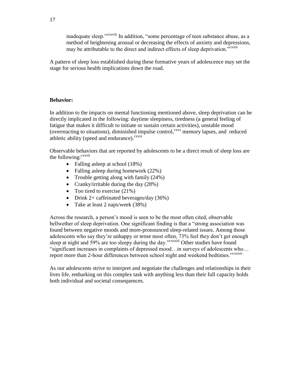inadequate sleep."cxxviii In addition, "some percentage of teen substance abuse, as a method of heightening arousal or decreasing the effects of anxiety and depressions, may be attributable to the direct and indirect effects of sleep deprivation."<sup>cxxix</sup>

A pattern of sleep loss established during these formative years of adolescence may set the stage for serious health implications down the road.

# **Behavior:**

In addition to the impacts on mental functioning mentioned above, sleep deprivation can be directly implicated in the following: daytime sleepiness, tiredness (a general feeling of fatigue that makes it difficult to initiate or sustain certain activities), unstable mood (overreacting to situations), diminished impulse control, $c_{xxx}$  memory lapses, and reduced athletic ability (speed and endurance). $c<sub>xxxi</sub>$ 

Observable behaviors that are reported by adolescents to be a direct result of sleep loss are the following:<sup>cxxxii</sup>

- Falling asleep at school (18%)
- Falling asleep during homework (22%)
- Trouble getting along with family  $(24%)$
- Cranky/irritable during the day  $(28%)$
- Too tired to exercise  $(21\%)$
- Drink 2+ caffeinated beverages/day  $(36\%)$
- Take at least 2 naps/week (38%)

Across the research, a person's mood is seen to be the most often cited, observable bellwether of sleep deprivation. One significant finding is that a "strong association was found between negative moods and more-pronounced sleep-related issues. Among those adolescents who say they're unhappy or tense most often, 73% feel they don't get enough sleep at night and 59% are too sleepy during the day."<sup>cxxxiii</sup> Other studies have found "significant increases in complaints of depressed mood…in surveys of adolescents who… report more than 2-hour differences between school night and weekend bedtimes."<sup>cxxxiv</sup>

As our adolescents strive to interpret and negotiate the challenges and relationships in their lives life, embarking on this complex task with anything less than their full capacity holds both individual and societal consequences.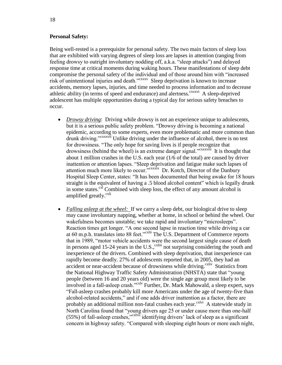# **Personal Safety:**

Being well-rested is a prerequisite for personal safety. The two main factors of sleep loss that are exhibited with varying degrees of sleep loss are lapses in attention (ranging from feeling drowsy to outright involuntary nodding off, a.k.a. "sleep attacks") and delayed response time at critical moments during waking hours. These manifestations of sleep debt compromise the personal safety of the individual and of those around him with "increased risk of unintentional injuries and death."<sup>cxxxv</sup> Sleep deprivation is known to increase accidents, memory lapses, injuries, and time needed to process information and to decrease athletic ability (in terms of speed and endurance) and alertness.<sup>cxxxvi</sup> A sleep-deprived adolescent has multiple opportunities during a typical day for serious safety breaches to occur.

- *Drowsy driving*: Driving while drowsy is not an experience unique to adolescents, but it is a serious public safety problem. "Drowsy driving is becoming a national epidemic, according to some experts, even more problematic and more common than drunk driving."<sup>cxxxvii</sup> Unlike driving under the influence of alcohol, there is no test for drowsiness. "The only hope for saving lives is if people recognize that drowsiness (behind the wheel) is an extreme danger signal."<sup>cxxxviii</sup> It is thought that about 1 million crashes in the U.S. each year (1/6 of the total) are caused by driver inattention or attention lapses. "Sleep deprivation and fatigue make such lapses of attention much more likely to occur.<sup>">cxxxix</sup> Dr. Kotch, Director of the Danbury Hospital Sleep Center, states: "It has been documented that being awake for 18 hours straight is the equivalent of having a .5 blood alcohol content" which is legally drunk in some states. $c^{x}$  Combined with sleep loss, the effect of any amount alcohol is amplified greatly.<sup>cxli</sup>
- *Falling asleep at the wheel:* If we carry a sleep debt, our biological drive to sleep may cause involuntary napping, whether at home, in school or behind the wheel. Our wakefulness becomes unstable; we take rapid and involuntary "microsleeps". Reaction times get longer. "A one second lapse in reaction time while driving a car at 60 m.p.h. translates into 88 feet.<sup>"cxlii</sup> The U.S. Department of Commerce reports that in 1989, "motor vehicle accidents were the second largest single cause of death in persons aged 15-24 years in the U.S., $\frac{c}{c}$ <sup>xliii</sup> not surprising considering the youth and inexperience of the drivers. Combined with sleep deprivation, that inexperience can rapidly become deadly. 27% of adolescents reported that, in 2005, they had an accident or near-accident because of drowsiness while driving.<sup>cxliv</sup> Statistics from the National Highway Traffic Safety Administration (NHSTA) state that "young people (between 16 and 20 years old) were the single age group most likely to be involved in a fall-asleep crash."<sup>cxlv</sup> Further, Dr. Mark Mahowald, a sleep expert, says "Fall-asleep crashes probably kill more Americans under the age of twenty-five than alcohol-related accidents," and if one adds driver inattention as a factor, there are probably an additional million non-fatal crashes each year.<sup>cxlvi</sup> A statewide study in North Carolina found that "young drivers age 25 or under cause more than one-half  $(55%)$  of fall-asleep crashes,"<sup>cxlvii</sup> identifying drivers' lack of sleep as a significant concern in highway safety. "Compared with sleeping eight hours or more each night,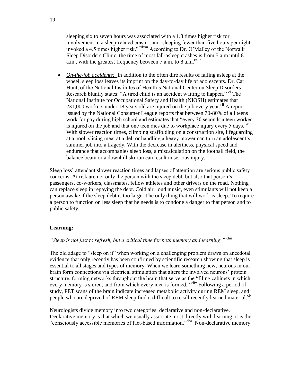sleeping six to seven hours was associated with a 1.8 times higher risk for involvement in a sleep-related crash…and sleeping fewer than five hours per night invoked a 4.5 times higher risk."<sup>cxlviii</sup> According to Dr. O'Malley of the Norwalk Sleep Disorders Clinic, the time of most fall-asleep crashes is from 5 a.m.until 8 a.m., with the greatest frequency between  $7$  a.m. to  $8$  a.m.<sup>cxlix</sup>

• *On-the-job accidents:* In addition to the often dire results of falling asleep at the wheel, sleep loss leaves its imprint on the day-to-day life of adolescents. Dr. Carl Hunt, of the National Institutes of Health's National Center on Sleep Disorders Research bluntly states: "A tired child is an accident waiting to happen." <sup>cl</sup> The National Institute for Occupational Safety and Health (NIOSH) estimates that  $231,000$  workers under 18 years old are injured on the job every year.<sup>cli</sup> A report issued by the National Consumer League reports that between 70-80% of all teens work for pay during high school and estimates that "every 30 seconds a teen worker is injured on the job and that one teen dies due to workplace injury every 5 days."<sup>clii</sup> With slower reaction times, climbing scaffolding on a construction site, lifeguarding at a pool, slicing meat at a deli or handling a heavy mower can turn an adolescent's summer job into a tragedy. With the decrease in alertness, physical speed and endurance that accompanies sleep loss, a miscalculation on the football field, the balance beam or a downhill ski run can result in serious injury.

Sleep loss' attendant slower reaction times and lapses of attention are serious public safety concerns. At risk are not only the person with the sleep debt, but also that person's passengers, co-workers, classmates, fellow athletes and other drivers on the road. Nothing can replace sleep in repaying the debt. Cold air, loud music, even stimulants will not keep a person awake if the sleep debt is too large. The only thing that will work is sleep. To require a person to function on less sleep that he needs is to condone a danger to that person and to public safety.

# **Learning:**

# *"Sleep is not just to refresh, but a critical time for both memory and learning."* cliii

The old adage to "sleep on it" when working on a challenging problem draws on anecdotal evidence that only recently has been confirmed by scientific research showing that sleep is essential to all stages and types of memory. When we learn something new, neurons in our brain form connections via electrical stimulation that alters the involved neurons' protein structure, forming networks throughout the brain that serve as the "filing cabinets in which every memory is stored, and from which every idea is formed." <sup>cliv</sup> Following a period of study, PET scans of the brain indicate increased metabolic activity during REM sleep, and people who are deprived of REM sleep find it difficult to recall recently learned material.<sup>clv</sup>

Neurologists divide memory into two categories: declarative and non-declarative. Declarative memory is that which we usually associate most directly with learning; it is the "consciously accessible memories of fact-based information."<sup>clvi</sup> Non-declarative memory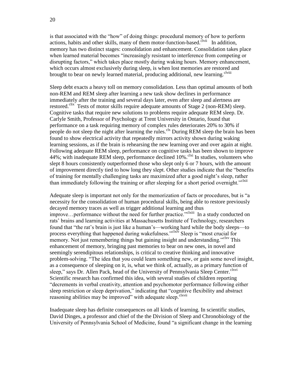is that associated with the "how" of doing things: procedural memory of how to perform actions, habits and other skills, many of them motor-function-based.<sup>clvii</sup> In addition, memory has two distinct stages: consolidation and enhancement. Consolidation takes place when learned material becomes "increasingly resistant to interference from competing or disrupting factors," which takes place mostly during waking hours. Memory enhancement, which occurs almost exclusively during sleep, is when lost memories are restored and brought to bear on newly learned material, producing additional, new learning.<sup>clviii</sup>

Sleep debt exacts a heavy toll on memory consolidation. Less than optimal amounts of both non-REM and REM sleep after learning a new task show declines in performance immediately after the training and several days later, even after sleep and alertness are restored.<sup>clix</sup> Tests of motor skills require adequate amounts of Stage 2 (non-REM) sleep. Cognitive tasks that require new solutions to problems require adequate REM sleep. Dr. Carlyle Smith, Professor of Psychology at Trent University in Ontario, found that performance on a task requiring memory of complex rules deteriorates 20% to 30% if people do not sleep the night after learning the rules.<sup>clx</sup> During REM sleep the brain has been found to show electrical activity that repeatedly mirrors activity shown during waking learning sessions, as if the brain is rehearsing the new learning over and over again at night. Following adequate REM sleep, performance on cognitive tasks has been shown to improve 44%; with inadequate REM sleep, performance declined  $10\%$ <sup>clxi</sup> In studies, volunteers who slept 8 hours consistently outperformed those who slept only 6 or 7 hours, with the amount of improvement directly tied to how long they slept. Other studies indicate that the "benefits of training for mentally challenging tasks are maximized after a good night's sleep, rather than immediately following the training or after sleeping for a short period overnight."<sup>clxii</sup>

Adequate sleep is important not only for the memorization of facts or procedures, but is "a necessity for the consolidation of human procedural skills, being able to restore previously decayed memory traces as well as trigger additional learning and thus improve...performance without the need for further practice."<sup>clxiii</sup> In a study conducted on rats' brains and learning activities at Massachusetts Institute of Technology, researchers found that "the rat's brain is just like a human's—working hard while the body sleeps—to process everything that happened during wakefulness."<sup>clxiv</sup> Sleep is "most crucial for memory. Not just remembering things but gaining insight and understanding.<sup>"clxv</sup> This enhancement of memory, bringing past memories to bear on new ones, in novel and seemingly serendipitous relationships, is critical to creative thinking and innovative problem-solving. "The idea that you could learn something new, or gain some novel insight, as a consequence of sleeping on it, is, what we think of, actually, as a primary function of sleep," says Dr. Allen Pack, head of the University of Pennsylvania Sleep Center.<sup>clxvi</sup> Scientific research has confirmed this idea, with several studies of children reporting "decrements in verbal creativity, attention and psychomotor performance following either sleep restriction or sleep deprivation," indicating that "cognitive flexibility and abstract reasoning abilities may be improved" with adequate sleep.<sup>clxvii</sup>

Inadequate sleep has definite consequences on all kinds of learning. In scientific studies, David Dinges, a professor and chief of the the Division of Sleep and Chronobiology of the University of Pennsylvania School of Medicine, found "a significant change in the learning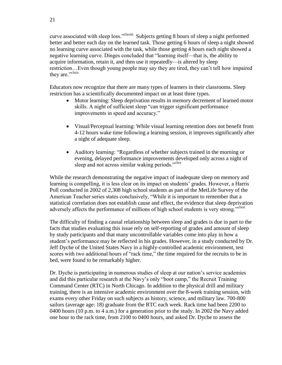curve associated with sleep loss."<sup>clxviii</sup> Subjects getting 8 hours of sleep a night performed better and better each day on the learned task. Those getting 6 hours of sleep a night showed no learning curve associated with the task, while those getting 4 hours each night showed a negative learning curve. Dinges concluded that "learning itself—that is, the ability to acquire information, retain it, and then use it repeatedly—is altered by sleep restriction…Even though young people may say they are tired, they can't tell how impaired they are."<sup>clxix</sup>

Educators now recognize that there are many types of learners in their classrooms. Sleep restriction has a scientifically documented impact on at least three types.

- Motor learning: Sleep deprivation results in memory decrement of learned motor skills. A night of sufficient sleep "can trigger significant performance improvements in speed and accuracy."
- Visual/Perceptual learning: While visual learning retention does not benefit from 4-12 hours wake time following a learning session, it improves significantly after a night of adequate sleep.
- Auditory learning: "Regardless of whether subjects trained in the morning or evening, delayed performance improvements developed only across a night of sleep and not across similar waking periods."<sup>clxx</sup>

While the research demonstrating the negative impact of inadequate sleep on memory and learning is compelling, it is less clear on its impact on students' grades. However, a Harris Poll conducted in 2002 of 2,308 high school students as part of the MetLife Survey of the American Teacher series states conclusively, "While it is important to remember that a statistical correlation does not establish cause and effect, the evidence that sleep deprivation adversely affects the performance of millions of high school students is very strong."<sup>clxxi</sup>

The difficulty of finding a causal relationship between sleep and grades is due in part to the facts that studies evaluating this issue rely on self-reporting of grades and amount of sleep by study participants and that many uncontrollable variables come into play in how a student's performance may be reflected in his grades. However, in a study conducted by Dr. Jeff Dyche of the United States Navy in a highly-controlled academic environment, test scores with two additional hours of "rack time," the time required for the recruits to be in bed, were found to be remarkably higher.

Dr. Dyche is participating in numerous studies of sleep at our nation's service academies and did this particular research at the Navy's only "boot camp," the Recruit Training Command Center (RTC) in North Chicago. In addition to the physical drill and military training, there is an intensive academic environment over the 8-week training session, with exams every other Friday on such subjects as history, science, and military law. 700-800 sailors (average age: 18) graduate from the RTC each week. Rack time had been 2200 to 0400 hours (10 p.m. to 4 a.m.) for a generation prior to the study. In 2002 the Navy added one hour to the rack time, from 2100 to 0400 hours, and asked Dr. Dyche to assess the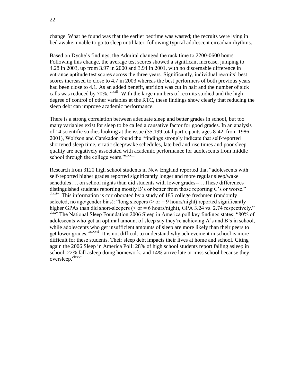change. What he found was that the earlier bedtime was wasted; the recruits were lying in bed awake, unable to go to sleep until later, following typical adolescent circadian rhythms.

Based on Dyche's findings, the Admiral changed the rack time to 2200-0600 hours. Following this change, the average test scores showed a significant increase, jumping to 4.28 in 2003, up from 3.97 in 2000 and 3.94 in 2001, with no discernable difference in entrance aptitude test scores across the three years. Significantly, individual recruits' best scores increased to close to 4.7 in 2003 whereas the best performers of both previous years had been close to 4.1. As an added benefit, attrition was cut in half and the number of sick calls was reduced by 70%. <sup>clxxii</sup> With the large numbers of recruits studied and the high degree of control of other variables at the RTC, these findings show clearly that reducing the sleep debt can improve academic performance.

There is a strong correlation between adequate sleep and better grades in school, but too many variables exist for sleep to be called a causative factor for good grades. In an analysis of 14 scientific studies looking at the issue (35,199 total participants ages 8-42, from 1986- 2001), Wolfson and Carskadon found the "findings strongly indicate that self-reported shortened sleep time, erratic sleep/wake schedules, late bed and rise times and poor sleep quality are negatively associated with academic performance for adolescents from middle school through the college years."<sup>clxxiii</sup>

Research from 3120 high school students in New England reported that "adolescents with self-reported higher grades reported significantly longer and more regular sleep/wake schedules…. on school nights than did students with lower grades--…These differences distinguished students reporting mostly B's or better from those reporting C's or worse." clxxiv This information is corroborated by a study of 185 college freshmen (randomly selected, no age/gender bias): "long sleepers ( $>$  or  $=$  9 hours/night) reported significantly higher GPAs than did short-sleepers ( $\leq$  or = 6 hours/night), GPA 3.24 vs. 2.74 respectively." clxxv The National Sleep Foundation 2006 Sleep in America poll key findings states: "80% of adolescents who get an optimal amount of sleep say they're achieving A's and B's in school, while adolescents who get insufficient amounts of sleep are more likely than their peers to get lower grades."<sup>clxxvi</sup> It is not difficult to understand why achievement in school is more difficult for these students. Their sleep debt impacts their lives at home and school. Citing again the 2006 Sleep in America Poll: 28% of high school students report falling asleep in school; 22% fall asleep doing homework; and 14% arrive late or miss school because they oversleep.<sup>clxxvii</sup>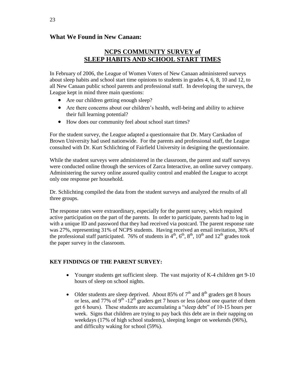# **What We Found in New Canaan:**

# **NCPS COMMUNITY SURVEY of SLEEP HABITS AND SCHOOL START TIMES**

In February of 2006, the League of Women Voters of New Canaan administered surveys about sleep habits and school start time opinions to students in grades 4, 6, 8, 10 and 12, to all New Canaan public school parents and professional staff. In developing the surveys, the League kept in mind three main questions:

- Are our children getting enough sleep?
- Are there concerns about our children's health, well-being and ability to achieve their full learning potential?
- How does our community feel about school start times?

For the student survey, the League adapted a questionnaire that Dr. Mary Carskadon of Brown University had used nationwide. For the parents and professional staff, the League consulted with Dr. Kurt Schlichting of Fairfield University in designing the questionnaire.

While the student surveys were administered in the classroom, the parent and staff surveys were conducted online through the services of Zarca Interactive, an online survey company. Administering the survey online assured quality control and enabled the League to accept only one response per household.

Dr. Schlichting compiled the data from the student surveys and analyzed the results of all three groups.

The response rates were extraordinary, especially for the parent survey, which required active participation on the part of the parents. In order to participate, parents had to log in with a unique ID and password that they had received via postcard. The parent response rate was 27%, representing 31% of NCPS students. Having received an email invitation, 36% of the professional staff participated. 76% of students in  $4<sup>th</sup>$ ,  $6<sup>th</sup>$ ,  $8<sup>th</sup>$ ,  $10<sup>th</sup>$  and  $12<sup>th</sup>$  grades took the paper survey in the classroom.

# **KEY FINDINGS OF THE PARENT SURVEY:**

- Younger students get sufficient sleep. The vast majority of K-4 children get 9-10 hours of sleep on school nights.
- Older students are sleep deprived. About 85% of  $7<sup>th</sup>$  and  $8<sup>th</sup>$  graders get 8 hours or less, and 77% of  $9<sup>th</sup>$ -12<sup>th</sup> graders get 7 hours or less (about one quarter of them get 6 hours). These students are accumulating a "sleep debt" of 10-15 hours per week. Signs that children are trying to pay back this debt are in their napping on weekdays (17% of high school students), sleeping longer on weekends (96%), and difficulty waking for school (59%).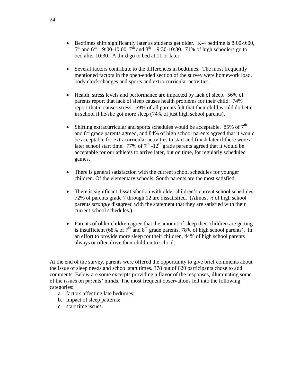- Bedtimes shift significantly later as students get older. K-4 bedtime is 8:00-9:00,  $5^{th}$  and  $6^{th} - 9:00 - 10:00$ ,  $7^{th}$  and  $8^{th} - 9:30 - 10:30$ . 71% of high schoolers go to bed after 10:30. A third go to bed at 11 or later.
- Several factors contribute to the differences in bedtimes. The most frequently mentioned factors in the open-ended section of the survey were homework load, body clock changes and sports and extra-curricular activities.
- Health, stress levels and performance are impacted by lack of sleep. 56% of parents report that lack of sleep causes health problems for their child. 74% report that it causes stress. 59% of all parents felt that their child would do better in school if he/she got more sleep (74% of just high school parents).
- Shifting extracurricular and sports schedules would be acceptable. 85% of  $7<sup>th</sup>$ and  $8<sup>th</sup>$  grade parents agreed, and 84% of high school parents agreed that it would be acceptable for extracurricular activities to start and finish later if there were a later school start time. 77% of  $7<sup>th</sup>$  -12<sup>th</sup> grade parents agreed that it would be acceptable for our athletes to arrive later, but on time, for regularly scheduled games.
- There is general satisfaction with the current school schedules for younger children. Of the elementary schools, South parents are the most satisfied.
- There is significant dissatisfaction with older children's current school schedules. 72% of parents grade 7 through 12 are dissatisfied. (Almost ½ of high school parents *strongly* disagreed with the statement that they are satisfied with their current school schedules.)
- Parents of older children agree that the amount of sleep their children are getting is insufficient (68% of  $7<sup>th</sup>$  and  $8<sup>th</sup>$  grade parents, 78% of high school parents). In an effort to provide more sleep for their children, 44% of high school parents always or often drive their children to school.

At the end of the survey, parents were offered the opportunity to give brief comments about the issue of sleep needs and school start times. 378 out of 620 participants chose to add comments. Below are some excerpts providing a flavor of the responses, illuminating some of the issues on parents' minds. The most frequent observations fell into the following categories:

- a. factors affecting late bedtimes;
- b. impact of sleep patterns;
- c. start time issues.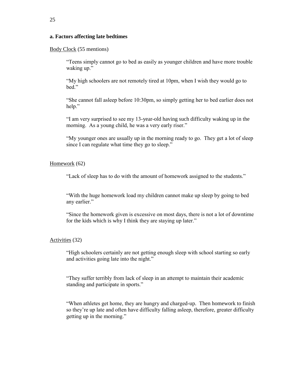# **a. Factors affecting late bedtimes**

Body Clock (55 mentions)

"Teens simply cannot go to bed as easily as younger children and have more trouble waking up."

"My high schoolers are not remotely tired at 10pm, when I wish they would go to bed."

"She cannot fall asleep before 10:30pm, so simply getting her to bed earlier does not help."

"I am very surprised to see my 13-year-old having such difficulty waking up in the morning. As a young child, he was a very early riser."

"My younger ones are usually up in the morning ready to go. They get a lot of sleep since I can regulate what time they go to sleep."

Homework (62)

"Lack of sleep has to do with the amount of homework assigned to the students."

"With the huge homework load my children cannot make up sleep by going to bed any earlier."

"Since the homework given is excessive on most days, there is not a lot of downtime for the kids which is why I think they are staying up later."

Activities (32)

"High schoolers certainly are not getting enough sleep with school starting so early and activities going late into the night."

"They suffer terribly from lack of sleep in an attempt to maintain their academic standing and participate in sports."

"When athletes get home, they are hungry and charged-up. Then homework to finish so they're up late and often have difficulty falling asleep, therefore, greater difficulty getting up in the morning."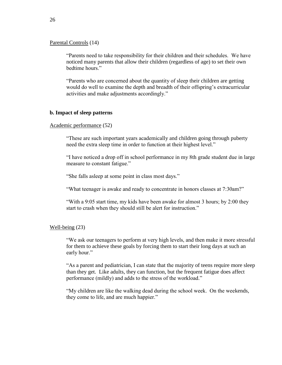Parental Controls (14)

"Parents need to take responsibility for their children and their schedules. We have noticed many parents that allow their children (regardless of age) to set their own bedtime hours."

"Parents who are concerned about the quantity of sleep their children are getting would do well to examine the depth and breadth of their offspring's extracurricular activities and make adjustments accordingly."

# **b. Impact of sleep patterns**

Academic performance (52)

"These are such important years academically and children going through puberty need the extra sleep time in order to function at their highest level."

"I have noticed a drop off in school performance in my 8th grade student due in large measure to constant fatigue."

"She falls asleep at some point in class most days."

"What teenager is awake and ready to concentrate in honors classes at 7:30am?"

"With a 9:05 start time, my kids have been awake for almost 3 hours; by 2:00 they start to crash when they should still be alert for instruction."

Well-being (23)

"We ask our teenagers to perform at very high levels, and then make it more stressful for them to achieve these goals by forcing them to start their long days at such an early hour."

"As a parent and pediatrician, I can state that the majority of teens require more sleep than they get. Like adults, they can function, but the frequent fatigue does affect performance (mildly) and adds to the stress of the workload."

"My children are like the walking dead during the school week. On the weekends, they come to life, and are much happier."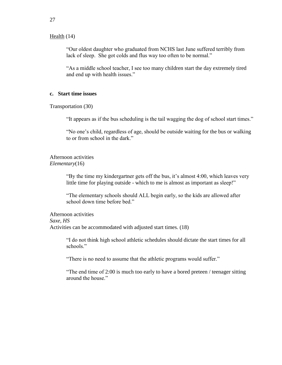# Health (14)

"Our oldest daughter who graduated from NCHS last June suffered terribly from lack of sleep. She got colds and flus way too often to be normal."

"As a middle school teacher, I see too many children start the day extremely tired and end up with health issues."

# **c. Start time issues**

Transportation (30)

"It appears as if the bus scheduling is the tail wagging the dog of school start times."

"No one's child, regardless of age, should be outside waiting for the bus or walking to or from school in the dark."

Afternoon activities *Elementary*(16)

> "By the time my kindergartner gets off the bus, it's almost 4:00, which leaves very little time for playing outside - which to me is almost as important as sleep!"

"The elementary schools should ALL begin early, so the kids are allowed after school down time before bed."

Afternoon activities *Saxe, HS*  Activities can be accommodated with adjusted start times. (18)

> "I do not think high school athletic schedules should dictate the start times for all schools."

"There is no need to assume that the athletic programs would suffer."

"The end time of 2:00 is much too early to have a bored preteen / teenager sitting around the house."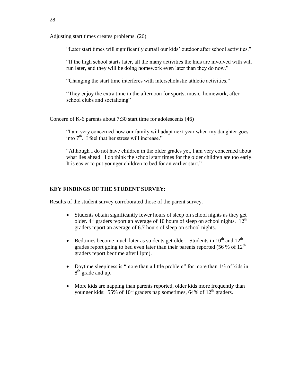Adjusting start times creates problems. (26)

"Later start times will significantly curtail our kids' outdoor after school activities."

"If the high school starts later, all the many activities the kids are involved with will run later, and they will be doing homework even later than they do now."

"Changing the start time interferes with interscholastic athletic activities."

"They enjoy the extra time in the afternoon for sports, music, homework, after school clubs and socializing"

Concern of K-6 parents about 7:30 start time for adolescents (46)

"I am very concerned how our family will adapt next year when my daughter goes into  $7<sup>th</sup>$ . I feel that her stress will increase."

"Although I do not have children in the older grades yet, I am very concerned about what lies ahead. I do think the school start times for the older children are too early. It is easier to put younger children to bed for an earlier start."

#### **KEY FINDINGS OF THE STUDENT SURVEY:**

Results of the student survey corroborated those of the parent survey.

- Students obtain significantly fewer hours of sleep on school nights as they get older.  $4<sup>th</sup>$  graders report an average of 10 hours of sleep on school nights. 12<sup>th</sup> graders report an average of 6.7 hours of sleep on school nights.
- Bedtimes become much later as students get older. Students in  $10^{th}$  and  $12^{th}$ grades report going to bed even later than their parents reported (56 % of  $12<sup>th</sup>$ graders report bedtime after11pm).
- Daytime sleepiness is "more than a little problem" for more than 1/3 of kids in  $8<sup>th</sup>$  grade and up.
- More kids are napping than parents reported, older kids more frequently than younger kids:  $55\%$  of  $10^{th}$  graders nap sometimes, 64% of  $12^{th}$  graders.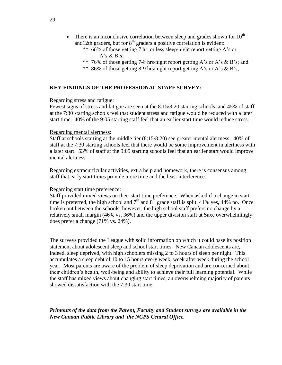- There is an inconclusive correlation between sleep and grades shown for  $10^{th}$ and 12th graders, but for  $8<sup>th</sup>$  graders a positive correlation is evident:
	- \*\* 66% of those getting 7 hr. or less sleep/night report getting A's or A's  $\&$  B's;
	- \*\* 76% of those getting 7-8 hrs/night report getting A's or A's & B's; and
	- \*\* 86% of those getting 8-9 hrs/night report getting A's or A's & B's;

## **KEY FINDINGS OF THE PROFESSIONAL STAFF SURVEY:**

#### Regarding stress and fatigue:

Fewest signs of stress and fatigue are seen at the 8:15/8:20 starting schools, and 45% of staff at the 7:30 starting schools feel that student stress and fatigue would be reduced with a later start time. 40% of the 9:05 starting staff feel that an earlier start time would reduce stress.

#### Regarding mental alertness:

Staff at schools starting at the middle tier (8:15/8:20) see greater mental alertness. 40% of staff at the 7:30 starting schools feel that there would be some improvement in alertness with a later start. 53% of staff at the 9:05 starting schools feel that an earlier start would improve mental alertness.

Regarding extracurricular activities, extra help and homework, there is consensus among staff that early start times provide more time and the least interference.

#### Regarding start time preference:

Staff provided mixed views on their start time preference. When asked if a change in start time is preferred, the high school and  $7<sup>th</sup>$  and  $8<sup>th</sup>$  grade staff is split, 41% yes, 44% no. Once broken out between the schools, however, the high school staff prefers no change by a relatively small margin (46% vs. 36%) and the upper division staff at Saxe overwhelmingly does prefer a change (71% vs. 24%).

The surveys provided the League with solid information on which it could base its position statement about adolescent sleep and school start times. New Canaan adolescents are, indeed, sleep deprived, with high schoolers missing 2 to 3 hours of sleep per night. This accumulates a sleep debt of 10 to 15 hours every week, week after week during the school year. Most parents are aware of the problem of sleep deprivation and are concerned about their children's health, well-being and ability to achieve their full learning potential. While the staff has mixed views about changing start times, an overwhelming majority of parents showed dissatisfaction with the 7:30 start time.

# *Printouts of the data from the Parent, Faculty and Student surveys are available in the New Canaan Public Library and the NCPS Central Office.*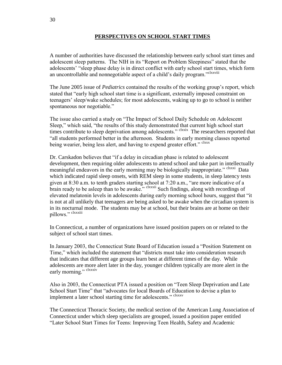# **PERSPECTIVES ON SCHOOL START TIMES**

A number of authorities have discussed the relationship between early school start times and adolescent sleep patterns. The NIH in its "Report on Problem Sleepiness" stated that the adolescents' "sleep phase delay is in direct conflict with early school start times, which form an uncontrollable and nonnegotiable aspect of a child's daily program."<sup>clxxviii</sup>

The June 2005 issue of *Pediatrics* contained the results of the working group's report, which stated that "early high school start time is a significant, externally imposed constraint on teenagers' sleep/wake schedules; for most adolescents, waking up to go to school is neither spontaneous nor negotiable."

The issue also carried a study on "The Impact of School Daily Schedule on Adolescent Sleep," which said, "the results of this study demonstrated that current high school start times contribute to sleep deprivation among adolescents." <sup>clxxix</sup> The researchers reported that "all students performed better in the afternoon. Students in early morning classes reported being wearier, being less alert, and having to expend greater effort." clxxx

Dr. Carskadon believes that "if a delay in circadian phase is related to adolescent development, then requiring older adolescents to attend school and take part in intellectually meaningful endeavors in the early morning may be biologically inappropriate." <sup>clxxxi</sup> Data which indicated rapid sleep onsets, with REM sleep in some students, in sleep latency tests given at 8:30 a.m. to tenth graders starting school at 7:20 a.m., "are more indicative of a brain ready to be asleep than to be awake."  $\frac{\text{clxxx}}{\text{clxxx}}$  Such findings, along with recordings of elevated melatonin levels in adolescents during early morning school hours, suggest that "it is not at all unlikely that teenagers are being asked to be awake when the circadian system is in its nocturnal mode. The students may be at school, but their brains are at home on their pillows." clxxxiii

In Connecticut, a number of organizations have issued position papers on or related to the subject of school start times.

In January 2003, the Connecticut State Board of Education issued a "Position Statement on Time," which included the statement that "districts must take into consideration research that indicates that different age groups learn best at different times of the day. While adolescents are more alert later in the day, younger children typically are more alert in the early morning." clxxxiv

Also in 2003, the Connecticut PTA issued a position on "Teen Sleep Deprivation and Late School Start Time" that "advocates for local Boards of Education to devise a plan to implement a later school starting time for adolescents." clxxxv

The Connecticut Thoracic Society, the medical section of the American Lung Association of Connecticut under which sleep specialists are grouped, issued a position paper entitled "Later School Start Times for Teens: Improving Teen Health, Safety and Academic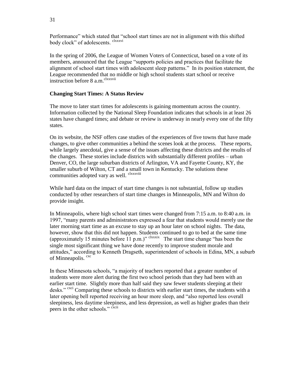Performance" which stated that "school start times are not in alignment with this shifted body clock" of adolescents. clxxxvi

In the spring of 2006, the League of Women Voters of Connecticut, based on a vote of its members, announced that the League "supports policies and practices that facilitate the alignment of school start times with adolescent sleep patterns." In its position statement, the League recommended that no middle or high school students start school or receive instruction before 8 a.m. <sup>clxxxvii</sup>

# **Changing Start Times: A Status Review**

The move to later start times for adolescents is gaining momentum across the country. Information collected by the National Sleep Foundation indicates that schools in at least 26 states have changed times; and debate or review is underway in nearly every one of the fifty states.

On its website, the NSF offers case studies of the experiences of five towns that have made changes, to give other communities a behind the scenes look at the process. These reports, while largely anecdotal, give a sense of the issues affecting these districts and the results of the changes. These stories include districts with substantially different profiles – urban Denver, CO, the large suburban districts of Arlington, VA and Fayette County, KY, the smaller suburb of Wilton, CT and a small town in Kentucky. The solutions these communities adopted vary as well. <sup>clxxxviii</sup>

While hard data on the impact of start time changes is not substantial, follow up studies conducted by other researchers of start time changes in Minneapolis, MN and Wilton do provide insight.

In Minneapolis, where high school start times were changed from 7:15 a.m. to 8:40 a.m. in 1997, "many parents and administrators expressed a fear that students would merely use the later morning start time as an excuse to stay up an hour later on school nights. The data, however, show that this did not happen. Students continued to go to bed at the same time (approximately 15 minutes before  $\overline{11}$  p.m.)" clxxxix The start time change "has been the single most significant thing we have done recently to improve student morale and attitudes," according to Kenneth Dragseth, superintendent of schools in Edina, MN, a suburb of Minneapolis. <sup>cxc</sup>

In these Minnesota schools, "a majority of teachers reported that a greater number of students were more alert during the first two school periods than they had been with an earlier start time. Slightly more than half said they saw fewer students sleeping at their desks." <sup>cxci</sup> Comparing these schools to districts with earlier start times, the students with a later opening bell reported receiving an hour more sleep, and "also reported less overall sleepiness, less daytime sleepiness, and less depression, as well as higher grades than their peers in the other schools." CXCII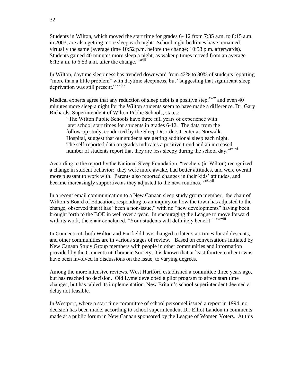Students in Wilton, which moved the start time for grades 6- 12 from 7:35 a.m. to 8:15 a.m. in 2003, are also getting more sleep each night. School night bedtimes have remained virtually the same (average time 10:52 p.m. before the change; 10:58 p.m. afterwards). Students gained 40 minutes more sleep a night, as wakeup times moved from an average 6:13 a.m. to 6:53 a.m. after the change.  $\frac{\text{c}^2}{\text{c}^2}$ 

In Wilton, daytime sleepiness has trended downward from 42% to 30% of students reporting "more than a little problem" with daytime sleepiness, but "suggesting that significant sleep deprivation was still present." cxciv

Medical experts agree that any reduction of sleep debt is a positive step,  $\alpha$  and even 40 minutes more sleep a night for the Wilton students seem to have made a difference. Dr. Gary Richards, Superintendent of Wilton Public Schools, states:

"The Wilton Public Schools have three full years of experience with later school start times for students in grades 6-12. The data from the follow-up study, conducted by the Sleep Disorders Center at Norwalk Hospital, suggest that our students are getting additional sleep each night. The self-reported data on grades indicates a positive trend and an increased number of students report that they are less sleepy during the school day."<sup>cxcvi</sup>

According to the report by the National Sleep Foundation, "teachers (in Wilton) recognized a change in student behavior: they were more awake, had better attitudes, and were overall more pleasant to work with. Parents also reported changes in their kids' attitudes, and became increasingly supportive as they adjusted to the new routines." cxcvii

In a recent email communication to a New Canaan sleep study group member, the chair of Wilton's Board of Education, responding to an inquiry on how the town has adjusted to the change, observed that it has "been a non-issue," with no "new developments" having been brought forth to the BOE in well over a year. In encouraging the League to move forward with its work, the chair concluded, "Your students will definitely benefit!" <sup>cxcviii</sup>

In Connecticut, both Wilton and Fairfield have changed to later start times for adolescents, and other communities are in various stages of review. Based on conversations initiated by New Canaan Study Group members with people in other communities and information provided by the Connecticut Thoracic Society, it is known that at least fourteen other towns have been involved in discussions on the issue, to varying degrees.

Among the more intensive reviews, West Hartford established a committee three years ago, but has reached no decision. Old Lyme developed a pilot program to affect start time changes, but has tabled its implementation. New Britain's school superintendent deemed a delay not feasible.

In Westport, where a start time committee of school personnel issued a report in 1994, no decision has been made, according to school superintendent Dr. Elliot Landon in comments made at a public forum in New Canaan sponsored by the League of Women Voters. At this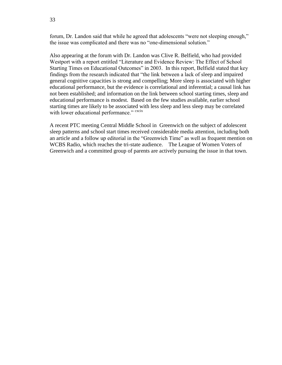forum, Dr. Landon said that while he agreed that adolescents "were not sleeping enough," the issue was complicated and there was no "one-dimensional solution."

Also appearing at the forum with Dr. Landon was Clive R. Belfield, who had provided Westport with a report entitled "Literature and Evidence Review: The Effect of School Starting Times on Educational Outcomes" in 2003. In this report, Belfield stated that key findings from the research indicated that "the link between a lack of sleep and impaired general cognitive capacities is strong and compelling; More sleep is associated with higher educational performance, but the evidence is correlational and inferential; a causal link has not been established; and information on the link between school starting times, sleep and educational performance is modest. Based on the few studies available, earlier school starting times are likely to be associated with less sleep and less sleep may be correlated with lower educational performance." cxcix

A recent PTC meeting Central Middle School in Greenwich on the subject of adolescent sleep patterns and school start times received considerable media attention, including both an article and a follow up editorial in the "Greenwich Time" as well as frequent mention on WCBS Radio, which reaches the tri-state audience. The League of Women Voters of Greenwich and a committed group of parents are actively pursuing the issue in that town.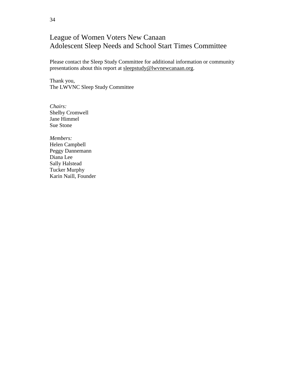# League of Women Voters New Canaan Adolescent Sleep Needs and School Start Times Committee

Please contact the Sleep Study Committee for additional information or community presentations about this report at [sleepstudy@lwvnewcanaan.org.](mailto:sleepstudy@lwvnewcanaan.org)

Thank you, The LWVNC Sleep Study Committee

*Chairs:* Shelby Cromwell Jane Himmel Sue Stone

*Members:*  Helen Campbell Peggy Dannemann Diana Lee Sally Halstead Tucker Murphy Karin Naill, Founder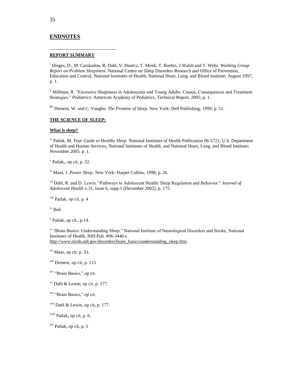#### **ENDNOTES**

#### **REPORT SUMMARY**

<sup>i</sup> Dinges, D., M. Carskadon, R. Dahl, V. Haulcy, T. Monk, T. Roehrs, J.Walsh and T. Wehr. *Working Group Report on Problem Sleepiness*. National Center on Sleep Disorders Research and Office of Prevention, Education and Control, National Institutes of Health; National Heart, Lung, and Blood Institute; August 1997; p. 1.

ii Millman, R. "Excessive Sleepiness in Adolescents and Young Adults: Causes, Consequences and Treatment Strategies." *Pediatrics*. American Academy of Pediatrics, Technical Report, 2005; p. 1.

iii Dement, W. and C. Vaughn. *The Promise of Sleep*. New York: Dell Publishing; 1999; p. 51.

#### **THE SCIENCE OF SLEEP:**

#### **What is sleep?**

iv Patlak, M. *Your Guide to Healthy Sleep*. National Institutes of Health Publication 06-5721; U.S. Department of Health and Human Services, National Institutes of Health, and National Heart, Lung, and Blood Institute; November 2005, p. 1.

<sup>v</sup> Patlak,, op cit, p. 22.

vi Maas, J. *Power Sleep*. New York: Harper Collins; 1998; p. 26.

vii Dahl, R. and D. Lewin. "Pathways to Adolescent Health: Sleep Regulation and Behavior." *Journal of Adolescent Health* v.31, issue 6, supp.1 (December 2002), p. 175

viii Patlak, op cit. p. 4

ix Ibid.

x Patlak, op cit., p.14.

<sup>xi</sup> "Brain Basics: Understanding Sleep." National Institute of Neurological Disorders and Stroke, National Institutes of Health, NIH Pub. #06-3440-c. http://www.ninds.nih.gov/disorders/brain\_basics/understanding\_sleep.htm.

xii Maas, op cit. p. 33.

 $x<sup>xiii</sup>$  Dement, op cit, p. 115

xiv "Brain Basics," op cit.

xv Dahl & Lewin, op cit, p. 177.

xvi "Brain Basics," op cit.

xvii Dahl & Lewin, op cit, p. 177.

xviii Patlak, op cit, p. 6.

 $\frac{xx}{x}$  Patlak, op cit, p. 5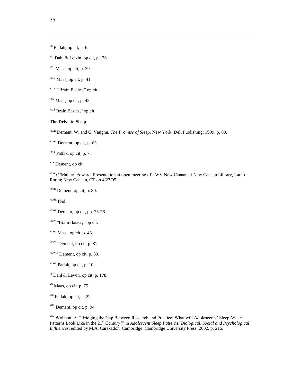$\frac{xx}{x}$  Patlak, op cit, p. 6.

 $xxi$  Dahl & Lewin, op cit, p.176.

xxii Maas, op cit, p. 39.

 $x$ <sup>xxiii</sup> Maas, op cit, p. 41.

<sup>xxiv</sup> "Brain Basics," op cit.

xxv Maas, op cit, p. 43.

xxvi Brain Basics," op cit.

#### **The Drive to Sleep**

xxvii Dement, W. and C. Vaughn. *The Promise of Sleep*. New York: Dell Publishing; 1999; p. 60.

xxviii Dement, op cit, p. 63.

 $x$ <sup>xxix</sup> Patlak, op cit, p. 7.

xxx Dement, op cit.

xxxi O'Malley, Edward. Presentation at open meeting of LWV New Canaan at New Canaan Library, Lamb Room; New Canaan, CT on 4/27/05.

xxxii Dement, op cit, p. 80.

xxxiii Ibid.

xxxiv Dement, op cit, pp. 75-76.

xxxv "Brain Basics," op cit.

xxxvi Maas, op cit, p. 46.

xxxvii Dement, op cit, p. 81.

xxxviii Dement, op cit, p. 80.

xxxix Patlak, op cit, p. 10.

xl Dahl & Lewin, op cit, p. 178.

 $x<sup>li</sup>$  Maas, op cit. p. 75.

xlii Patlak, op cit, p. 22.

xliii Dement, op cit, p. 94.

xliv Wolfson, A. "Bridging the Gap Between Research and Practice: What will Adolescents' Sleep-Wake Patterns Look Like in the 21<sup>st</sup> Century?" in *Adolescent Sleep Patterns: Biological, Social and Psychological Influences*, edited by M.A. Carskadon. Cambridge: Cambridge University Press, 2002, p. 215.

36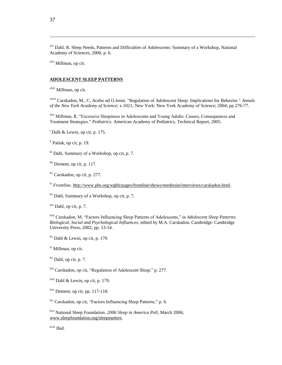xlv Dahl, R. Sleep Needs, Patterns and Difficulties of Adolescents: Summary of a Workshop, National Academy of Sciences, 2000, p. 6.

xlvi Millman, op cit.

#### **ADOLESCENT SLEEP PATTERNS**

xlvii Millman, op cit.

xlviii Carskadon, M., C. Acebo nd O.Jenni. "Regulation of Adolescent Sleep: Implications for Behavior." *Annals of the New York Academy of Science*; v.1021; New York: New York Academy of Science; 2004; pp 276-77.

xlix Millman, R. "Excessive Sleepiness in Adolescents and Young Adults: Causes, Consequences and Treatment Strategies." *Pediatrics*. American Academy of Pediatrics, Technical Report, 2005.

<sup>1</sup> Dalh & Lewin, op cit, p. 175.

 $\textsuperscript{li}$  Patlak, op cit, p. 19.

lii Dahl, Summary of a Workshop, op cit, p. 7.

liii Dement, op cit, p. 117.

liv Carskadon, op cit, p. 277.

lv *Frontline*. http://www.pbs.org/wgbh/pages/frontline/shows/teenbrain/interviews/carskadon.html.

lvi Dahl, Summary of a Workshop, op cit, p. 7.

lvii Dahl, op cit, p. 7.

lviii Carskadon, M. "Factors Influencing Sleep Patterns of Adolescents," in *Adolescent Sleep Patterns: Biological, Social and Psychological Influences*, edited by M.A. Carskadon. Cambridge: Cambridge University Press, 2002; pp. 13-14.

 $\frac{h}{x}$  Dahl & Lewin, op cit, p. 179.

<sup>lx</sup> Millman, op cit.

 $\frac{dx}{dx}$  Dahl, op cit, p. 7.

lxii Carskadon, op cit, "Regulation of Adolescent Sleep," p. 277.

<sup>lxiii</sup> Dahl & Lewin, op cit, p. 179.

 $l<sub>xiv</sub>$  Dement, op cit, pp. 117-118.

lxv Carskadon, op cit, "Factors Influencing Sleep Patterns," p. 6.

lxvi National Sleep Foundation. *2006 Sleep in America Poll*, March 2006; www.sleepfoundation.org/sleepmatters.

lxvii Ibid.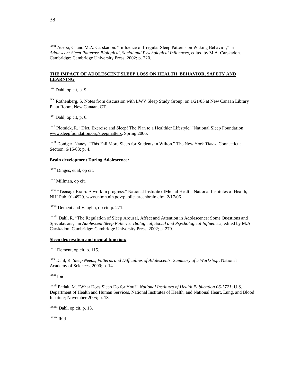lxviii Acebo, C. and M.A. Carskadon. "Influence of Irregular Sleep Patterns on Waking Behavior," in *Adolescent Sleep Patterns: Biological, Social and Psychological Influences*, edited by M.A. Carskadon. Cambridge: Cambridge University Press, 2002; p. 220.

#### **THE IMPACT OF ADOLESCENT SLEEP LOSS ON HEALTH, BEHAVIOR, SAFETY AND LEARNING**

 $\frac{\text{lxx}}{\text{b}}$  Dahl, op cit, p. 9.

 $\frac{dx}{dx}$  Rothenberg, S. Notes from discussion with LWV Sleep Study Group, on 1/21/05 at New Canaan Library Plaut Room, New Canaan, CT.

 $\frac{dx}{dx}$  Dahl, op cit, p. 6.

lxxii Plotnick, R. "Diet, Exercise and Sleep! The Plan to a Healthier Lifestyle," National Sleep Foundation www.sleepfoundation.org/sleepmatters, Spring 2006.

lxxiii Doniger, Nancy. "This Fall More Sleep for Students in Wilton." The New York *Times*, Connecticut Section, 6/15/03; p. 4.

#### **Brain development During Adolescence:**

lxxiv Dinges, et al, op cit.

lxxv Millman, op cit.

lxxvi "Teenage Brain: A work in progress." National Institute ofMental Health, National Institutes of Health, NIH Pub. 01-4929. www.nimh.nih.gov/publicat/teenbrain.cfm. 2/17/06.

lxxvii Dement and Vaughn, op cit, p. 271.

lxxviii Dahl, R. "The Regulation of Sleep Arousal, Affect and Attention in Adolescence: Some Questions and Speculations," in *Adolescent Sleep Patterns: Biological, Social and Psychological Influences*, edited by M.A. Carskadon. Cambridge: Cambridge University Press, 2002; p. 270.

#### **Sleep deprivation and mental function:**

lxxix Dement, op cit. p. 115.

lxxx Dahl, R. *Sleep Needs, Patterns and Difficulties of Adolescents: Summary of a Workshop*, National Academy of Sciences, 2000; p. 14.

lxxxi Ibid.

lxxxii Patlak, M. "What Does Sleep Do for You?" *National Institutes of Health Publication 06-5721*; U.S. Department of Health and Human Services, National Institutes of Health, and National Heart, Lung, and Blood Institute; November 2005; p. 13.

lxxxiii Dahl, op cit, p. 13.

lxxxiv Ibid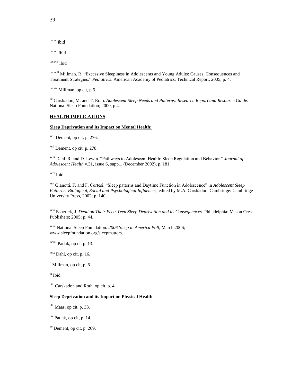lxxxv Ibid

lxxxvi Ibid

lxxxvii Ibid

lxxxviii Millman, R. "Excessive Sleepiness in Adolescents and Young Adults: Causes, Consequences and Treatment Strategies." *Pediatrics*. American Academy of Pediatrics, Technical Report, 2005; p. 4.

lxxxix Millman, op cit, p.5.

xc Carskadon, M. and T. Roth. *Adolescent Sleep Needs and Patterns: Research Report and Resource Guide*. National Sleep Foundation; 2000, p.4.

#### **HEALTH IMPLICATIONS**

#### **Sleep Deprivation and its Impact on Mental Health:**

<sup>xci</sup> Dement, op cit, p. 276.

xcii Dement, op cit, p. 278.

xciii Dahl, R. and D. Lewin. "Pathways to Adolescent Health: Sleep Regulation and Behavior." *Journal of Adolescent Health* v.31, issue 6, supp.1 (December 2002), p. 181.

xciv Ibid.

xcv Gianotti, F. and F. Cortesi. "Sleep patterns and Daytime Function in Adolescence" in *Adolescent Sleep Patterns: Biological, Social and Psychological Influences*, edited by M.A. Carskadon. Cambridge: Cambridge University Press, 2002; p. 140.

xcvi Esherick, J. *Dead on Their Feet: Teen Sleep Deprivation and its Consequences*. Philadelphia: Mason Crest Publishers; 2005; p. 44.

xcvii National Sleep Foundation. *2006 Sleep in America Poll*, March 2006; www.sleepfoundation.org/sleepmatters.

xcviii Patlak, op cit p. 13.

 $x$ cix Dahl, op cit, p. 16.

 $\textdegree$  Millman, op cit, p. 6

ci Ibid.

<sup>cii</sup> Carskadon and Roth, op cit. p. 4.

#### **Sleep Deprivation and its Impact on Physical Health**

ciii Maas, op cit, p. 33.

 $\frac{\text{civ}}{\text{Patlak}}$ , op cit, p. 14.

 $\alpha$ <sup>cv</sup> Dement, op cit, p. 269.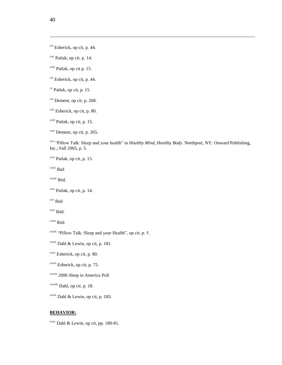<sup>cvi</sup> Esherick, op cit, p. 44.

cvii Patlak, op cit. p. 14.

cviii Patlak, op cit p. 15.

cix Esherick, op cit, p. 44.

 $\alpha$ <sup>cx</sup> Patlak, op cit, p. 15.

<sup>cxi</sup> Dement, op cit. p. 268.

<sup>cxii</sup> Esherick, op cit, p. 80.

cxiii Patlak, op cit, p. 15.

 $\frac{\text{cxiv}}{\text{Dement}}$ , op cit, p. 265.

cxv "Pillow Talk: Sleep and your health" in *Healthy Mind, Healthy Body*. Northport, NY: Onward Publishing, Inc.; Fall 2005, p. 5.

cxvi Patlak, op cit, p. 15.

cxvii Ibid

cxviii Ibid.

 $\frac{\text{c} \cdot \text{c} \cdot \text{c}}{\text{P} \cdot \text{c} \cdot \text{c}}$  Patlak, op cit, p. 14.

cxx Ibid

cxxi Ibid.

cxxii Ibid.

cxxiii "Pillow Talk: Sleep and your Health", op cit, p. 5.

 $\alpha$ <sup>cxxiv</sup> Dahl & Lewin, op cit, p. 181.

 $cxxv$  Esherick, op cit, p. 80.

cxxvi Esherick, op cit, p. 75.

cxxvii 2006 Sleep in America Poll

cxxviii Dahl, op cit. p. 18.

 $\frac{\text{cxxix}}{\text{Dahl}}$  & Lewin, op cit, p. 183.

#### **BEHAVIOR:**

 $c$ <sup>xxx</sup> Dahl & Lewin, op cit, pp. 180-81.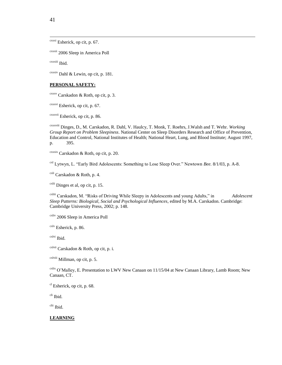$\overline{a}$ 

 $\frac{\text{cxxxi}}{\text{cxy}}$  Esherick, op cit, p. 67.

cxxxii 2006 Sleep in America Poll

cxxxiii Ibid.

 $\frac{\text{cxxxiv}}{\text{Dahl}}$  & Lewin, op cit, p. 181.

#### **PERSONAL SAFETY:**

cxxxv Carskadon & Roth, op cit, p. 3.

 $\frac{\text{cxxxvi}}{\text{Esherick}}$ , op cit, p. 67.

cxxxvii Esherick, op cit, p. 86.

cxxxviii Dinges, D., M. Carskadon, R. Dahl, V. Haulcy, T. Monk, T. Roehrs, J.Walsh and T. Wehr. *Working Group Report on Problem Sleepiness*. National Center on Sleep Disorders Research and Office of Prevention, Education and Control, National Institutes of Health; National Heart, Lung, and Blood Institute; August 1997, p. 395.

 $\frac{\text{c} \cdot \text{c} \cdot \text{c} \cdot \text{c}}{\text{c} \cdot \text{c} \cdot \text{c} \cdot \text{c}}$  Carskadon & Roth, op cit, p. 20.

cxl Lytwyn, L. "Early Bird Adolescents: Something to Lose Sleep Over." Newtown *Bee.* 8/1/03, p. A-8.

 $\alpha$ <sup>cxli</sup> Carskadon & Roth, p. 4.

cxlii Dinges et al, op cit, p. 15.

cxliii Carskadon, M. "Risks of Driving While Sleepy in Adolescents and young Adults," in *Adolescent Sleep Patterns: Biological, Social and Psychological Influences*, edited by M.A. Carskadon. Cambridge: Cambridge University Press, 2002; p. 148.

cxliv 2006 Sleep in America Poll

cxlv Esherick, p. 86.

cxlvi Ibid.

cxlvii Carskadon & Roth, op cit, p. i.

cxlviii Millman, op cit, p. 5.

cxlix O'Malley, E. Presentation to LWV New Canaan on 11/15/04 at New Canaan Library, Lamb Room; New Canaan, CT.

 $c<sup>l</sup>$  Esherick, op cit, p. 68.

cli Ibid.

clii Ibid.

#### **LEARNING**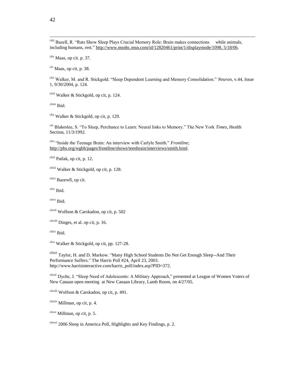cliii Bazell, R. "Rats Show Sleep Plays Crucial Memory Role: Brain makes connections while animals, including humans, rest." http://www.msnbc.msn.com/id/12820461/print/1/displaymode/1098. 5/18/06.

cliv Maas, op cit. p. 37.

clv Maas, op cit, p. 38.

clvi Walker, M. and R. Stickgold. "Sleep Dependent Learning and Memory Consolidation." *Neuron*, v.44, Issue 1, 9/30/2004, p. 124.

clvii Walker & Stickgold, op cit, p. 124.

clviii Ibid.

<sup>clix</sup> Walker & Stickgold, op cit, p. 129.

clx Blakeslee, S. "To Sleep, Perchance to Learn: Neural links to Memory." The New York *Times*, Health Section, 11/3/1992.

<sup>clxi</sup> "Inside the Teenage Brain: An interview with Carlyle Smith." *Frontline*; http://pbs.org/wgbh/pages/frontline/shows/teenbrain/interviews/smith.html.

 $<sup>clxii</sup>$  Patlak, op cit, p. 12.</sup>

clxiii Walker & Stickgold, op cit, p. 128.

clxiv Bazewll, op cit.

clxv Ibid.

clxvi Ibid.

clxvii Wolfson & Carskadon, op cit, p. 502

 $<sup>clxviii</sup>$  Dinges, et al. op cit, p. 16.</sup>

clxix Ibid.

 $\text{clxx}$  Walker & Stickgold, op cit, pp. 127-28.

clxxi Taylor, H. and D. Markow. "Many High School Students Do Not Get Enough Sleep--And Their Performance Suffers." The Harris Poll #24, April 23, 2003. http://www.harrisinteractive.com/harris\_poll/index.asp?PID=372.

clxxii Dyche, J. "Sleep Need of Adolescents: A Military Approach," presented at League of Women Voters of New Canaan open meeting at New Canaan Library, Lamb Room, on 4/27/05.

clxxiii Wolfson & Carskadon, op cit, p. 491.

clxxiv Millman, op cit, p. 4.

 $\frac{\text{clxxv}}{\text{Collman}}$ , op cit, p. 5.

 $C<sup>clxxvi</sup>$  2006 Sleep in America Poll, Highlights and Key Findings, p. 2.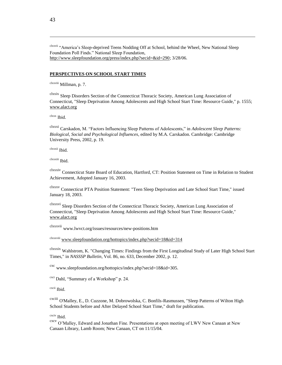clxxvii "America's Sleep-deprived Teens Nodding Off at School, behind the Wheel, New National Sleep Foundation Poll Finds." National Sleep Foundation, http://www.sleepfoundation.org/press/index.php?secid=&id=290; 3/28/06.

#### **PERSPECTIVES ON SCHOOL START TIMES**

clxxviii Millman, p. 7.

clxxix Sleep Disorders Section of the Connecticut Thoracic Society, American Lung Association of Connecticut, "Sleep Deprivation Among Adolescents and High School Start Time: Resource Guide," p. 1555; www.alact.org

clxxx Ibid.

clxxxi Carskadon, M. "Factors Influencing Sleep Patterns of Adolescents," in *Adolescent Sleep Patterns: Biological, Social and Psychological Influences*, edited by M.A. Carskadon. Cambridge: Cambridge University Press, 2002, p. 19.

clxxxii Ibid.

clxxxiii Ibid.

clxxxiv Connecticut State Board of Education, Hartford, CT: Position Statement on Time in Relation to Student Achievement, Adopted January 16, 2003.

clxxxv Connecticut PTA Position Statement: "Teen Sleep Deprivation and Late School Start Time," issued January 18, 2003.

clxxxvi Sleep Disorders Section of the Connecticut Thoracic Society, American Lung Association of Connecticut, "Sleep Deprivation Among Adolescents and High School Start Time: Resource Guide," www.alact.org

clxxxvii www.lwvct.org/issues/resources/new-positions.htm

clxxxviii www.sleepfoundation.org/hottopics/index.php?secid=18&id=314

clxxxix Wahlstrom, K. "Changing Times: Findings from the First Longitudinal Study of Later High School Start Times," in *NASSSP Bulletin*, Vol. 86, no. 633, December 2002, p. 12.

cxc www.sleepfoundation.org/hottopics/index.php?secid=18&id=305.

cxci Dahl, "Summary of a Workshop" p. 24.

cxcii Ibid.

cxciii O'Malley, E., D. Cuzzone, M. Dobrowolska, C. Bonfils-Rasmussen, "Sleep Patterns of Wilton High School Students before and After Delayed School Start Time," draft for publication.

cxciv Ibid.

cxcv O'Malley, Edward and Jonathan Fine. Presentations at open meeting of LWV New Canaan at New Canaan Library, Lamb Room; New Canaan, CT on 11/15/04.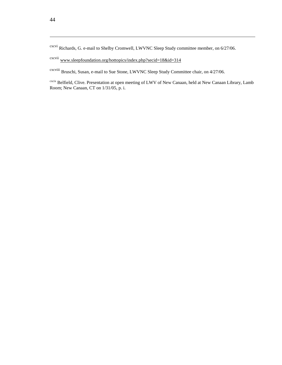cxcvi Richards, G. e-mail to Shelby Cromwell, LWVNC Sleep Study committee member, on 6/27/06.

cxcvii www.sleepfoundation.org/hottopics/index.php?secid=18&id=314

cxcviii Bruschi, Susan, e-mail to Sue Stone, LWVNC Sleep Study Committee chair, on 4/27/06.

<sup>cxcix</sup> Belfield, Clive. Presentation at open meeting of LWV of New Canaan, held at New Canaan Library, Lamb Room; New Canaan, CT on 1/31/05, p. i.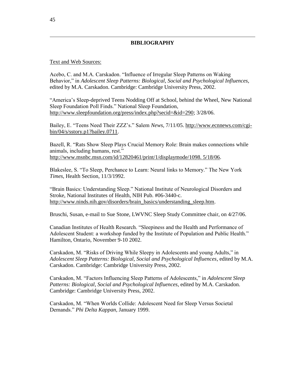# **BIBLIOGRAPHY**

# Text and Web Sources:

Acebo, C. and M.A. Carskadon. "Influence of Irregular Sleep Patterns on Waking Behavior," in *Adolescent Sleep Patterns: Biological, Social and Psychological Influences*, edited by M.A. Carskadon. Cambridge: Cambridge University Press, 2002.

"America's Sleep-deprived Teens Nodding Off at School, behind the Wheel, New National Sleep Foundation Poll Finds." National Sleep Foundation, http://www.sleepfoundation.org/press/index.php?secid=&id=290; 3/28/06.

Bailey, E. "Teens Need Their ZZZ's." Salem *News,* 7/11/05. http://www.ecnnews.com/cgibin/04/s/sstory.p1?bailey.0711.

Bazell, R. "Rats Show Sleep Plays Crucial Memory Role: Brain makes connections while animals, including humans, rest." http://www.msnbc.msn.com/id/12820461/print/1/displaymode/1098. 5/18/06.

Blakeslee, S. "To Sleep, Perchance to Learn: Neural links to Memory." The New York *Times*, Health Section, 11/3/1992.

"Brain Basics: Understanding Sleep." National Institute of Neurological Disorders and Stroke, National Institutes of Health, NIH Pub. #06-3440-c. http://www.ninds.nih.gov/disorders/brain\_basics/understanding\_sleep.htm.

Bruschi, Susan, e-mail to Sue Stone, LWVNC Sleep Study Committee chair, on 4/27/06.

Canadian Institutes of Health Research. "Sleepiness and the Health and Performance of Adolescent Student: a workshop funded by the Institute of Population and Public Health." Hamilton, Ontario, November 9-10 2002.

Carskadon, M. "Risks of Driving While Sleepy in Adolescents and young Adults," in *Adolescent Sleep Patterns: Biological, Social and Psychological Influences*, edited by M.A. Carskadon. Cambridge: Cambridge University Press, 2002.

Carskadon, M. "Factors Influencing Sleep Patterns of Adolescents," in *Adolescent Sleep Patterns: Biological, Social and Psychological Influences*, edited by M.A. Carskadon. Cambridge: Cambridge University Press, 2002.

Carskadon, M. "When Worlds Collide: Adolescent Need for Sleep Versus Societal Demands." *Phi Delta Kappan*, January 1999.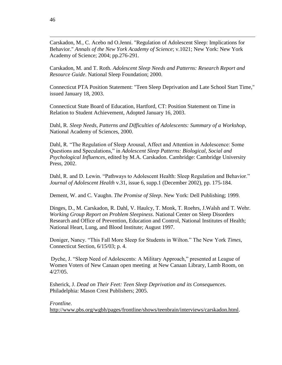Carskadon, M., C. Acebo nd O.Jenni. "Regulation of Adolescent Sleep: Implications for Behavior." *Annals of the New York Academy of Science*; v.1021; New York: New York Academy of Science; 2004; pp.276-291.

Carskadon, M. and T. Roth. *Adolescent Sleep Needs and Patterns: Research Report and Resource Guide*. National Sleep Foundation; 2000.

Connecticut PTA Position Statement: "Teen Sleep Deprivation and Late School Start Time," issued January 18, 2003.

Connecticut State Board of Education, Hartford, CT: Position Statement on Time in Relation to Student Achievement, Adopted January 16, 2003.

Dahl, R. *Sleep Needs, Patterns and Difficulties of Adolescents: Summary of a Workshop*, National Academy of Sciences, 2000.

Dahl, R. "The Regulation of Sleep Arousal, Affect and Attention in Adolescence: Some Questions and Speculations," in *Adolescent Sleep Patterns: Biological, Social and Psychological Influences*, edited by M.A. Carskadon. Cambridge: Cambridge University Press, 2002.

Dahl, R. and D. Lewin. "Pathways to Adolescent Health: Sleep Regulation and Behavior." *Journal of Adolescent Health* v.31, issue 6, supp.1 (December 2002), pp. 175-184.

Dement, W. and C. Vaughn. *The Promise of Sleep*. New York: Dell Publishing; 1999.

Dinges, D., M. Carskadon, R. Dahl, V. Haulcy, T. Monk, T. Roehrs, J.Walsh and T. Wehr. *Working Group Report on Problem Sleepiness*. National Center on Sleep Disorders Research and Office of Prevention, Education and Control, National Institutes of Health; National Heart, Lung, and Blood Institute; August 1997.

Doniger, Nancy. "This Fall More Sleep for Students in Wilton." The New York *Times*, Connecticut Section, 6/15/03; p. 4.

Dyche, J. "Sleep Need of Adolescents: A Military Approach," presented at League of Women Voters of New Canaan open meeting at New Canaan Library, Lamb Room, on 4/27/05.

Esherick, J. *Dead on Their Feet: Teen Sleep Deprivation and its Consequences*. Philadelphia: Mason Crest Publishers; 2005.

*Frontline*.

http://www.pbs.org/wgbh/pages/frontline/shows/teenbrain/interviews/carskadon.html.

46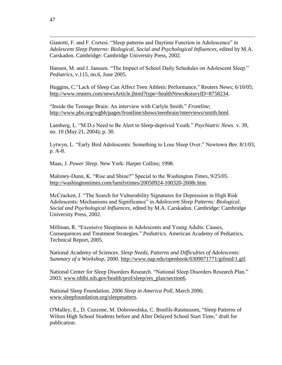Gianotti, F. and F. Cortesi. "Sleep patterns and Daytime Function in Adolescence" in *Adolescent Sleep Patterns: Biological, Social and Psychological Influences*, edited by M.A. Carskadon. Cambridge: Cambridge University Press, 2002.

Hansen, M. and I. Janssen. "The Impact of School Daily Schedules on Adolescent Sleep." *Pediatrics*, v.115, no.6, June 2005.

Huggins, C."Lack of Sleep Can Affect Teen Athletic Performance," Reuters News; 6/10/05; http://www.reuters.com/newsArticle.jhtml?type=healthNews&storyID=8758234.

"Inside the Teenage Brain: An interview with Carlyle Smith." *Frontline*; http://www.pbs.org/wgbh/pages/frontline/shows/teenbrain/interviews/smith.html.

Lamberg, L. "M.D.s Need to Be Alert to Sleep-deprived Youth." *Psychiatric News*. v. 39, no. 10 (May 21, 2004); p. 30.

Lytwyn, L. "Early Bird Adolescents: Something to Lose Sleep Over." Newtown *Bee.* 8/1/03, p. A-8.

Maas, J. *Power Sleep*. New York: Harper Collins; 1998.

Maloney-Dunn, K. "Rise and Shine?" Special to the Washington *Times*, 9/25/05. http://washingtontimes.com/familytimes/20050924-100320-2608r.htm.

McCracken, J. "The Search for Vulnerability Signatures for Depression in High Risk Adolescents: Mechanisms and Significance" in *Adolescent Sleep Patterns: Biological, Social and Psychological Influences*, edited by M.A. Carskadon. Cambridge: Cambridge University Press, 2002.

Millman, R. "Excessive Sleepiness in Adolescents and Young Adults: Causes, Consequences and Treatment Strategies." *Pediatrics*. American Academy of Pediatrics, Technical Report, 2005.

National Academy of Sciences. *Sleep Needs, Patterns and Difficulties of Adolescents: Summary of a Workshop*, 2000. http://www.nap.edu/openbook/0309071771/gifmid/1.gif.

National Center for Sleep Disorders Research. "National Sleep Disorders Research Plan." 2003; www.nhlbi.nih.gov/health/prof/sleep/res\_plan/section6.

National Sleep Foundation. *2006 Sleep in America Poll*, March 2006; www.sleepfoundation.org/sleepmatters.

O'Malley, E., D. Cuzzone, M. Dobrowolska, C. Bonfils-Rasmussen, "Sleep Patterns of Wilton High School Students before and After Delayed School Start Time," draft for publication.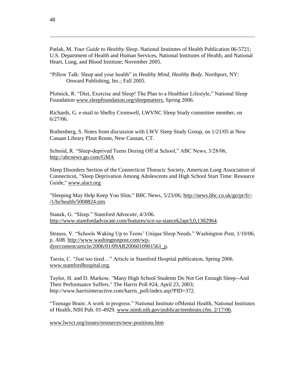Patlak, M. *Your Guide to Healthy Sleep*. National Institutes of Health Publication 06-5721; U.S. Department of Health and Human Services, National Institutes of Health, and National Heart, Lung, and Blood Institute; November 2005.

"Pillow Talk: Sleep and your health" in *Healthy Mind, Healthy Body*. Northport, NY: Onward Publishing, Inc.; Fall 2005.

Plotnick, R. "Diet, Exercise and Sleep! The Plan to a Healthier Lifestyle," National Sleep Foundation www.sleepfoundation.org/sleepmatters, Spring 2006.

Richards, G. e-mail to Shelby Cromwell, LWVNC Sleep Study committee member, on 6/27/06.

Rothenberg, S. Notes from discussion with LWV Sleep Study Group, on 1/21/05 at New Canaan Library Plaut Room, New Canaan, CT.

Schmid, R. "Sleep-deprived Teens Dozing Off at School," ABC News, 3/28/06; http://abcnews.go.com/GMA

Sleep Disorders Section of the Connecticut Thoracic Society, American Lung Association of Connecticut, "Sleep Deprivation Among Adolescents and High School Start Time: Resource Guide," www.alact.org

"Sleeping May Help Keep You Slim." BBC News, 5/23/06; http://news.bbc.co.uk/go/pr/fr/- /1/hi/health/5008824.stm

Stanek, G. "Sleep." Stamford *Advocate*, 4/3/06. http://www.stamfordadvocate.com/features/scn-sa-stancek2apr3,0,1302964.

Strauss, V. "Schools Waking Up to Teens' Unique Sleep Needs." Washington *Post,* 1/10/06, p. A08. http://www.washingtonpost.com/wpdyn/content/article/2006/01/09AR2006010901561\_p.

Tarzia, C. "Just too tired…" Article in Stamford Hospital publication, Spring 2006. www.stamfordhospital.org.

Taylor, H. and D. Markow. "Many High School Students Do Not Get Enough Sleep--And Their Performance Suffers." The Harris Poll #24, April 23, 2003; http://www.harrisinteractive.com/harris\_poll/index.asp?PID=372.

"Teenage Brain: A work in progress." National Institute ofMental Health, National Institutes of Health, NIH Pub. 01-4929. www.nimh.nih.gov/publicat/teenbrain.cfm. 2/17/06.

www.lwvct.org/issues/resources/new-positions.htm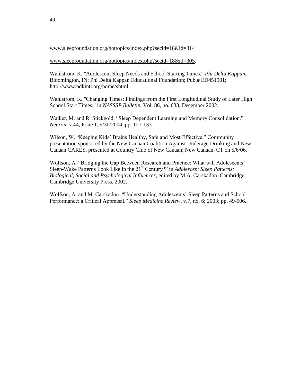# www.sleepfoundation.org/hottopics/index.php?secid=18&id=314

# www.sleepfoundation.org/hottopics/index.php?secid=18&id=305.

Wahlstrom, K. "Adolescent Sleep Needs and School Starting Times." *Phi Delta Kappan.*  Bloomington, IN: Phi Delta Kappan Educational Foundation; Pub.# ED451901; http://www.pdkintl.org/home/shtml.

Wahlstrom, K. "Changing Times: Findings from the First Longitudinal Study of Later High School Start Times," in *NASSSP Bulletin*, Vol. 86, no. 633, December 2002.

Walker, M. and R. Stickgold. "Sleep Dependent Learning and Memory Consolidation." *Neuron*, v.44, Issue 1, 9/30/2004, pp. 121-133.

Wilson, W. "Keeping Kids' Brains Healthy, Safe and Most Effective." Community presentation sponsored by the New Canaan Coalition Against Underage Drinking and New Canaan CARES, presented at Country Club of New Canaan; New Canaan, CT on 5/6/06.

Wolfson, A. "Bridging the Gap Between Research and Practice: What will Adolescents' Sleep-Wake Patterns Look Like in the 21<sup>st</sup> Century?" in *Adolescent Sleep Patterns: Biological, Social and Psychological Influences*, edited by M.A. Carskadon. Cambridge: Cambridge University Press, 2002.

Wolfson, A. and M. Carskadon. "Understanding Adolescents' Sleep Patterns and School Performance: a Critical Appraisal." *Sleep Medicine Review*, v.7, no. 6; 2003; pp. 49-506.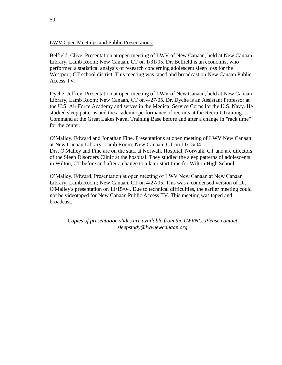# LWV Open Meetings and Public Presentaions:

Belfield, Clive. Presentation at open meeting of LWV of New Canaan, held at New Canaan Library, Lamb Room; New Canaan, CT on 1/31/05. Dr. Belfield is an economist who performed a statistical analysis of research concerning adolescent sleep loss for the Westport, CT school district. This meeting was taped and broadcast on New Canaan Public Access TV.

Dyche, Jeffrey. Presentation at open meeting of LWV of New Canaan, held at New Canaan Library, Lamb Room; New Canaan, CT on 4/27/05. Dr. Dyche is an Assistant Professor at the U.S. Air Force Academy and serves in the Medical Service Corps for the U.S. Navy. He studied sleep patterns and the academic performance of recruits at the Recruit Training Command at the Great Lakes Naval Training Base before and after a change in "rack time" for the center.

O'Malley, Edward and Jonathan Fine. Presentations at open meeting of LWV New Canaan at New Canaan Library, Lamb Room; New Canaan, CT on 11/15/04. Drs. O'Malley and Fine are on the staff at Norwalk Hospital, Norwalk, CT and are directors of the Sleep Disorders Clinic at the hospital. They studied the sleep patterns of adolescents in Wilton, CT before and after a change to a later start time for Wilton High School.

O'Malley, Edward. Presentation at open meeting of LWV New Canaan at New Canaan Library, Lamb Room; New Canaan, CT on 4/27/05. This was a condensed version of Dr. O'Malley's presentation on 11/15/04. Due to technical difficulties, the earlier meeting could not be videotaped for New Canaan Public Access TV. This meeting was taped and broadcast.

*Copies of presentation slides are available from the LWVNC. Please contact sleepstudy@lwvnewcanaan.org*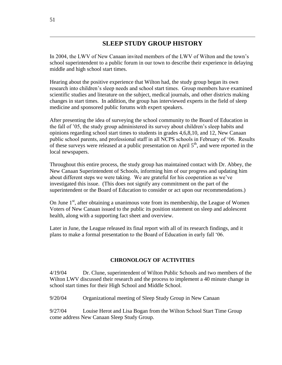# **SLEEP STUDY GROUP HISTORY**

In 2004, the LWV of New Canaan invited members of the LWV of Wilton and the town's school superintendent to a public forum in our town to describe their experience in delaying middle and high school start times.

Hearing about the positive experience that Wilton had, the study group began its own research into children's sleep needs and school start times. Group members have examined scientific studies and literature on the subject, medical journals, and other districts making changes in start times. In addition, the group has interviewed experts in the field of sleep medicine and sponsored public forums with expert speakers.

After presenting the idea of surveying the school community to the Board of Education in the fall of '05, the study group administered its survey about children's sleep habits and opinions regarding school start times to students in grades 4,6,8,10, and 12, New Canaan public school parents, and professional staff in all NCPS schools in February of '06. Results of these surveys were released at a public presentation on April  $5<sup>th</sup>$ , and were reported in the local newspapers.

Throughout this entire process, the study group has maintained contact with Dr. Abbey, the New Canaan Superintendent of Schools, informing him of our progress and updating him about different steps we were taking. We are grateful for his cooperation as we've investigated this issue. (This does not signify any commitment on the part of the superintendent or the Board of Education to consider or act upon our recommendations.)

On June  $1<sup>st</sup>$ , after obtaining a unanimous vote from its membership, the League of Women Voters of New Canaan issued to the public its position statement on sleep and adolescent health, along with a supporting fact sheet and overview.

Later in June, the League released its final report with all of its research findings, and it plans to make a formal presentation to the Board of Education in early fall '06.

# **CHRONOLOGY OF ACTIVITIES**

4/19/04 Dr. Clune, superintendent of Wilton Public Schools and two members of the Wilton LWV discussed their research and the process to implement a 40 minute change in school start times for their High School and Middle School.

9/20/04 Organizational meeting of Sleep Study Group in New Canaan

9/27/04 Louise Herot and Lisa Bogan from the Wilton School Start Time Group come address New Canaan Sleep Study Group.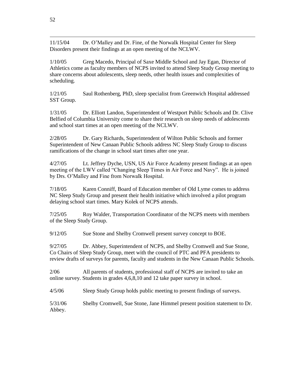11/15/04 Dr. O'Malley and Dr. Fine, of the Norwalk Hospital Center for Sleep Disorders present their findings at an open meeting of the NCLWV.

1/10/05 Greg Macedo, Principal of Saxe Middle School and Jay Egan, Director of Athletics come as faculty members of NCPS invited to attend Sleep Study Group meeting to share concerns about adolescents, sleep needs, other health issues and complexities of scheduling.

1/21/05 Saul Rothenberg, PhD, sleep specialist from Greenwich Hospital addressed SST Group.

1/31/05 Dr. Elliott Landon, Superintendent of Westport Public Schools and Dr. Clive Belfied of Columbia University come to share their research on sleep needs of adolescents and school start times at an open meeting of the NCLWV.

2/28/05 Dr. Gary Richards, Superintendent of Wilton Public Schools and former Superintendent of New Canaan Public Schools address NC Sleep Study Group to discuss ramifications of the change in school start times after one year.

4/27/05 Lt. Jeffrey Dyche, USN, US Air Force Academy present findings at an open meeting of the LWV called "Changing Sleep Times in Air Force and Navy". He is joined by Drs. O'Malley and Fine from Norwalk Hospital.

7/18/05 Karen Conniff, Board of Education member of Old Lyme comes to address NC Sleep Study Group and present their health initiative which involved a pilot program delaying school start times. Mary Kolek of NCPS attends.

7/25/05 Roy Walder, Transportation Coordinator of the NCPS meets with members of the Sleep Study Group.

9/12/05 Sue Stone and Shelby Cromwell present survey concept to BOE.

9/27/05 Dr. Abbey, Superintendent of NCPS, and Shelby Cromwell and Sue Stone, Co Chairs of Sleep Study Group, meet with the council of PTC and PFA presidents to review drafts of surveys for parents, faculty and students in the New Canaan Public Schools.

2/06 All parents of students, professional staff of NCPS are invited to take an online survey. Students in grades 4,6,8,10 and 12 take paper survey in school.

4/5/06 Sleep Study Group holds public meeting to present findings of surveys.

5/31/06 Shelby Cromwell, Sue Stone, Jane Himmel present position statement to Dr. Abbey.